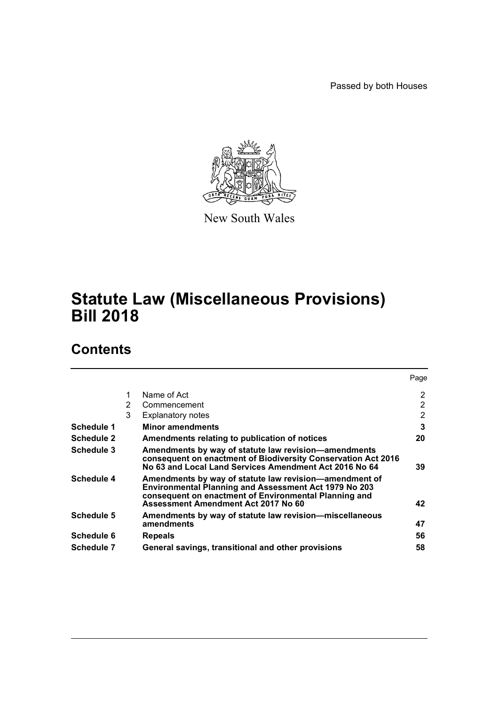Passed by both Houses



New South Wales

# **Statute Law (Miscellaneous Provisions) Bill 2018**

# **Contents**

|            |   |                                                                                                                                                                                                                 | Page |
|------------|---|-----------------------------------------------------------------------------------------------------------------------------------------------------------------------------------------------------------------|------|
|            | 1 | Name of Act                                                                                                                                                                                                     | 2    |
|            | 2 | Commencement                                                                                                                                                                                                    | 2    |
|            | 3 | <b>Explanatory notes</b>                                                                                                                                                                                        | 2    |
| Schedule 1 |   | <b>Minor amendments</b>                                                                                                                                                                                         | 3    |
| Schedule 2 |   | Amendments relating to publication of notices                                                                                                                                                                   | 20   |
| Schedule 3 |   | Amendments by way of statute law revision-amendments<br>consequent on enactment of Biodiversity Conservation Act 2016<br>No 63 and Local Land Services Amendment Act 2016 No 64                                 | 39   |
| Schedule 4 |   | Amendments by way of statute law revision-amendment of<br>Environmental Planning and Assessment Act 1979 No 203<br>consequent on enactment of Environmental Planning and<br>Assessment Amendment Act 2017 No 60 | 42   |
| Schedule 5 |   | Amendments by way of statute law revision—miscellaneous<br>amendments                                                                                                                                           | 47   |
| Schedule 6 |   | <b>Repeals</b>                                                                                                                                                                                                  | 56   |
| Schedule 7 |   | General savings, transitional and other provisions                                                                                                                                                              | 58   |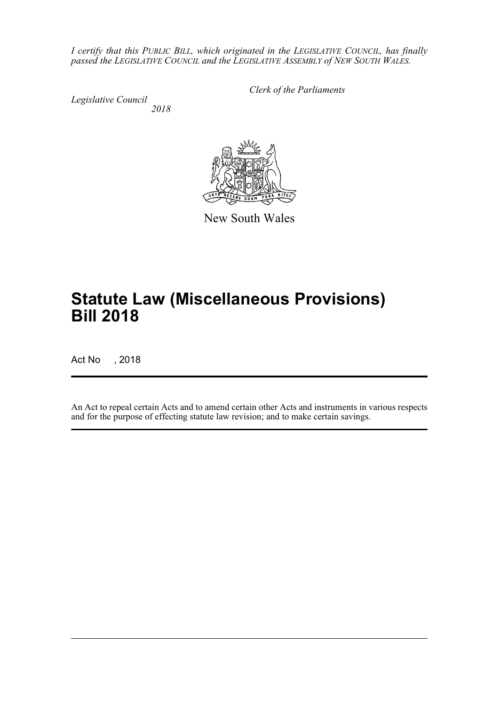*I certify that this PUBLIC BILL, which originated in the LEGISLATIVE COUNCIL, has finally passed the LEGISLATIVE COUNCIL and the LEGISLATIVE ASSEMBLY of NEW SOUTH WALES.*

*Legislative Council*

*Clerk of the Parliaments*

*2018*



New South Wales

# **Statute Law (Miscellaneous Provisions) Bill 2018**

Act No , 2018

An Act to repeal certain Acts and to amend certain other Acts and instruments in various respects and for the purpose of effecting statute law revision; and to make certain savings.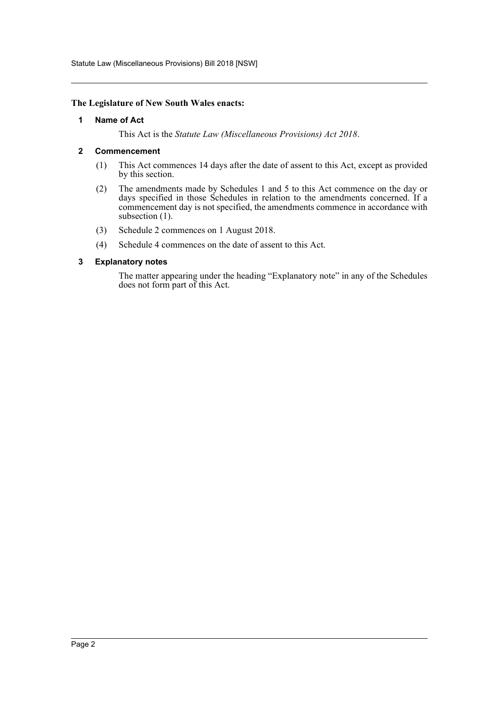Statute Law (Miscellaneous Provisions) Bill 2018 [NSW]

#### <span id="page-2-0"></span>**The Legislature of New South Wales enacts:**

#### **1 Name of Act**

This Act is the *Statute Law (Miscellaneous Provisions) Act 2018*.

#### <span id="page-2-1"></span>**2 Commencement**

- (1) This Act commences 14 days after the date of assent to this Act, except as provided by this section.
- (2) The amendments made by Schedules 1 and 5 to this Act commence on the day or days specified in those Schedules in relation to the amendments concerned. If a commencement day is not specified, the amendments commence in accordance with subsection (1).
- (3) Schedule 2 commences on 1 August 2018.
- (4) Schedule 4 commences on the date of assent to this Act.

#### <span id="page-2-2"></span>**3 Explanatory notes**

The matter appearing under the heading "Explanatory note" in any of the Schedules does not form part of this Act.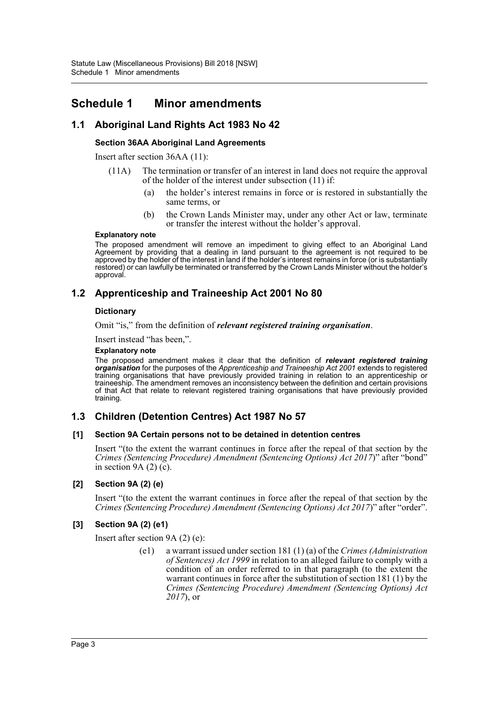## <span id="page-3-0"></span>**Schedule 1 Minor amendments**

### **1.1 Aboriginal Land Rights Act 1983 No 42**

### **Section 36AA Aboriginal Land Agreements**

Insert after section 36AA (11):

- (11A) The termination or transfer of an interest in land does not require the approval of the holder of the interest under subsection (11) if:
	- (a) the holder's interest remains in force or is restored in substantially the same terms, or
	- (b) the Crown Lands Minister may, under any other Act or law, terminate or transfer the interest without the holder's approval.

#### **Explanatory note**

The proposed amendment will remove an impediment to giving effect to an Aboriginal Land Agreement by providing that a dealing in land pursuant to the agreement is not required to be approved by the holder of the interest in land if the holder's interest remains in force (or is substantially restored) or can lawfully be terminated or transferred by the Crown Lands Minister without the holder's approval.

### **1.2 Apprenticeship and Traineeship Act 2001 No 80**

#### **Dictionary**

Omit "is," from the definition of *relevant registered training organisation*.

Insert instead "has been,".

#### **Explanatory note**

The proposed amendment makes it clear that the definition of *relevant registered training organisation* for the purposes of the *Apprenticeship and Traineeship Act 2001* extends to registered training organisations that have previously provided training in relation to an apprenticeship or traineeship. The amendment removes an inconsistency between the definition and certain provisions of that Act that relate to relevant registered training organisations that have previously provided training.

### **1.3 Children (Detention Centres) Act 1987 No 57**

#### **[1] Section 9A Certain persons not to be detained in detention centres**

Insert "(to the extent the warrant continues in force after the repeal of that section by the *Crimes (Sentencing Procedure) Amendment (Sentencing Options) Act 2017*)" after "bond" in section  $9A(2)(c)$ .

#### **[2] Section 9A (2) (e)**

Insert "(to the extent the warrant continues in force after the repeal of that section by the *Crimes (Sentencing Procedure) Amendment (Sentencing Options) Act 2017*)" after "order".

#### **[3] Section 9A (2) (e1)**

Insert after section 9A (2) (e):

(e1) a warrant issued under section 181 (1) (a) of the *Crimes (Administration of Sentences) Act 1999* in relation to an alleged failure to comply with a condition of an order referred to in that paragraph (to the extent the warrant continues in force after the substitution of section 181 (1) by the *Crimes (Sentencing Procedure) Amendment (Sentencing Options) Act 2017*), or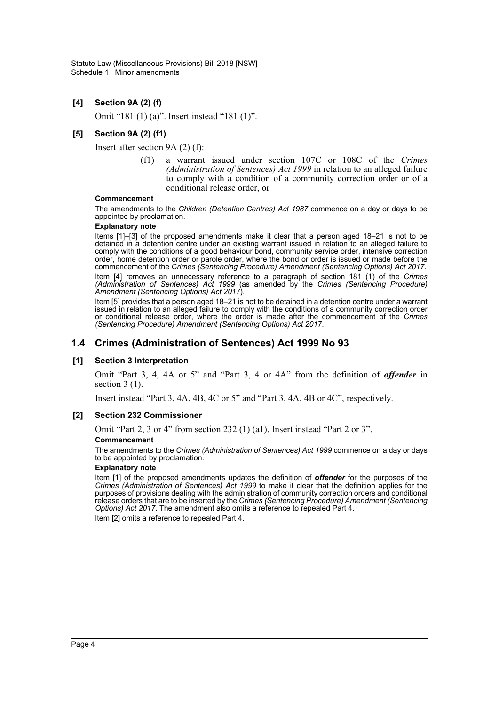#### **[4] Section 9A (2) (f)**

Omit "181 (1) (a)". Insert instead "181 (1)".

#### **[5] Section 9A (2) (f1)**

Insert after section 9A (2) (f):

(f1) a warrant issued under section 107C or 108C of the *Crimes (Administration of Sentences) Act 1999* in relation to an alleged failure to comply with a condition of a community correction order or of a conditional release order, or

#### **Commencement**

The amendments to the *Children (Detention Centres) Act 1987* commence on a day or days to be appointed by proclamation.

#### **Explanatory note**

Items [1]–[3] of the proposed amendments make it clear that a person aged 18–21 is not to be detained in a detention centre under an existing warrant issued in relation to an alleged failure to comply with the conditions of a good behaviour bond, community service order, intensive correction order, home detention order or parole order, where the bond or order is issued or made before the commencement of the *Crimes (Sentencing Procedure) Amendment (Sentencing Options) Act 2017*.

Item [4] removes an unnecessary reference to a paragraph of section 181 (1) of the *Crimes (Administration of Sentences) Act 1999* (as amended by the *Crimes (Sentencing Procedure) Amendment (Sentencing Options) Act 2017*).

Item [5] provides that a person aged 18–21 is not to be detained in a detention centre under a warrant issued in relation to an alleged failure to comply with the conditions of a community correction order or conditional release order, where the order is made after the commencement of the *Crimes (Sentencing Procedure) Amendment (Sentencing Options) Act 2017*.

### **1.4 Crimes (Administration of Sentences) Act 1999 No 93**

#### **[1] Section 3 Interpretation**

Omit "Part 3, 4, 4A or 5" and "Part 3, 4 or 4A" from the definition of *offender* in section 3 (1).

Insert instead "Part 3, 4A, 4B, 4C or 5" and "Part 3, 4A, 4B or 4C", respectively.

#### **[2] Section 232 Commissioner**

Omit "Part 2, 3 or 4" from section 232 (1) (a1). Insert instead "Part 2 or 3".

#### **Commencement**

The amendments to the *Crimes (Administration of Sentences) Act 1999* commence on a day or days to be appointed by proclamation.

#### **Explanatory note**

Item [1] of the proposed amendments updates the definition of *offender* for the purposes of the *Crimes (Administration of Sentences) Act 1999* to make it clear that the definition applies for the purposes of provisions dealing with the administration of community correction orders and conditional release orders that are to be inserted by the *Crimes (Sentencing Procedure) Amendment (Sentencing Options) Act 2017. The amendment also omits a reference to repealed Part 4.* 

Item [2] omits a reference to repealed Part 4.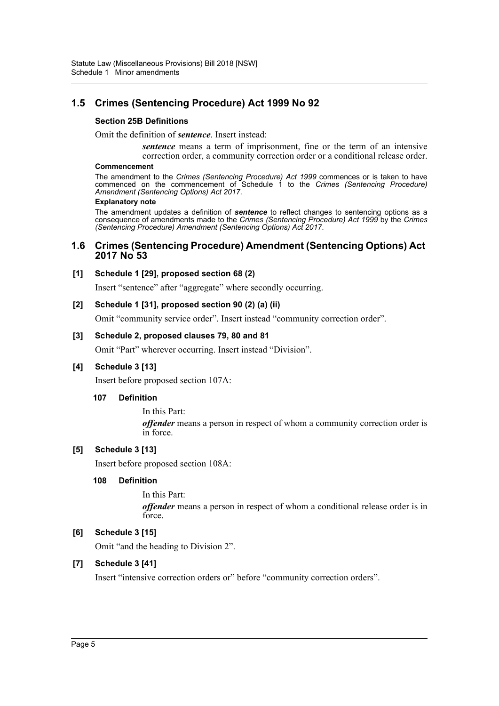### **1.5 Crimes (Sentencing Procedure) Act 1999 No 92**

#### **Section 25B Definitions**

Omit the definition of *sentence*. Insert instead:

*sentence* means a term of imprisonment, fine or the term of an intensive correction order, a community correction order or a conditional release order.

#### **Commencement**

The amendment to the *Crimes (Sentencing Procedure) Act 1999* commences or is taken to have commenced on the commencement of Schedule 1 to the *Crimes (Sentencing Procedure) Amendment (Sentencing Options) Act 2017*.

#### **Explanatory note**

The amendment updates a definition of *sentence* to reflect changes to sentencing options as a consequence of amendments made to the *Crimes (Sentencing Procedure) Act 1999* by the *Crimes (Sentencing Procedure) Amendment (Sentencing Options) Act 2017*.

### **1.6 Crimes (Sentencing Procedure) Amendment (Sentencing Options) Act 2017 No 53**

#### **[1] Schedule 1 [29], proposed section 68 (2)**

Insert "sentence" after "aggregate" where secondly occurring.

#### **[2] Schedule 1 [31], proposed section 90 (2) (a) (ii)**

Omit "community service order". Insert instead "community correction order".

#### **[3] Schedule 2, proposed clauses 79, 80 and 81**

Omit "Part" wherever occurring. Insert instead "Division".

### **[4] Schedule 3 [13]**

Insert before proposed section 107A:

#### **107 Definition**

In this Part: *offender* means a person in respect of whom a community correction order is in force.

#### **[5] Schedule 3 [13]**

Insert before proposed section 108A:

#### **108 Definition**

In this Part: *offender* means a person in respect of whom a conditional release order is in force.

### **[6] Schedule 3 [15]**

Omit "and the heading to Division 2".

### **[7] Schedule 3 [41]**

Insert "intensive correction orders or" before "community correction orders".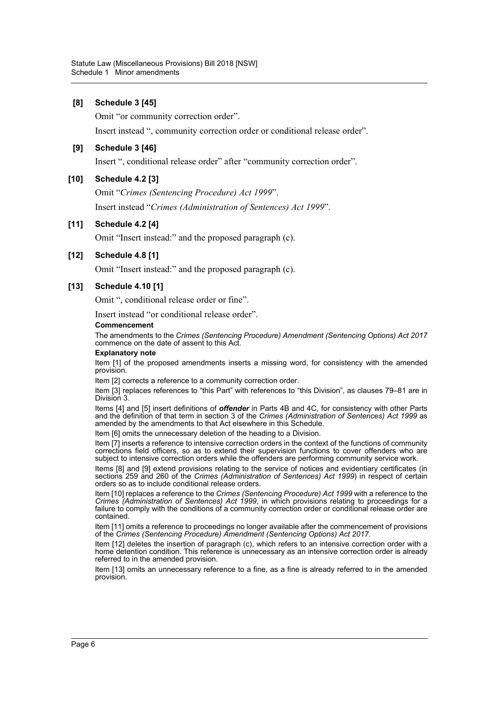#### **[8] Schedule 3 [45]**

Omit "or community correction order".

Insert instead ", community correction order or conditional release order".

#### **[9] Schedule 3 [46]**

Insert ", conditional release order" after "community correction order".

#### **[10] Schedule 4.2 [3]**

Omit "*Crimes (Sentencing Procedure) Act 1999*". Insert instead "*Crimes (Administration of Sentences) Act 1999*".

#### **[11] Schedule 4.2 [4]**

Omit "Insert instead:" and the proposed paragraph (c).

#### **[12] Schedule 4.8 [1]**

Omit "Insert instead:" and the proposed paragraph (c).

#### **[13] Schedule 4.10 [1]**

Omit ", conditional release order or fine".

Insert instead "or conditional release order".

#### **Commencement**

The amendments to the *Crimes (Sentencing Procedure) Amendment (Sentencing Options) Act 2017* commence on the date of assent to this Act.

#### **Explanatory note**

Item [1] of the proposed amendments inserts a missing word, for consistency with the amended provision.

Item [2] corrects a reference to a community correction order.

Item [3] replaces references to "this Part" with references to "this Division", as clauses 79–81 are in Division 3.

Items [4] and [5] insert definitions of *offender* in Parts 4B and 4C, for consistency with other Parts and the definition of that term in section 3 of the *Crimes (Administration of Sentences) Act 1999* as amended by the amendments to that Act elsewhere in this Schedule.

Item [6] omits the unnecessary deletion of the heading to a Division.

Item [7] inserts a reference to intensive correction orders in the context of the functions of community corrections field officers, so as to extend their supervision functions to cover offenders who are subject to intensive correction orders while the offenders are performing community service work.

Items [8] and [9] extend provisions relating to the service of notices and evidentiary certificates (in sections 259 and 260 of the *Crimes (Administration of Sentences) Act 1999*) in respect of certain orders so as to include conditional release orders.

Item [10] replaces a reference to the *Crimes (Sentencing Procedure) Act 1999* with a reference to the *Crimes (Administration of Sentences) Act 1999*, in which provisions relating to proceedings for a failure to comply with the conditions of a community correction order or conditional release order are contained.

Item [11] omits a reference to proceedings no longer available after the commencement of provisions of the *Crimes (Sentencing Procedure) Amendment (Sentencing Options) Act 2017*.

Item [12] deletes the insertion of paragraph (c), which refers to an intensive correction order with a home detention condition. This reference is unnecessary as an intensive correction order is already referred to in the amended provision.

Item [13] omits an unnecessary reference to a fine, as a fine is already referred to in the amended provision.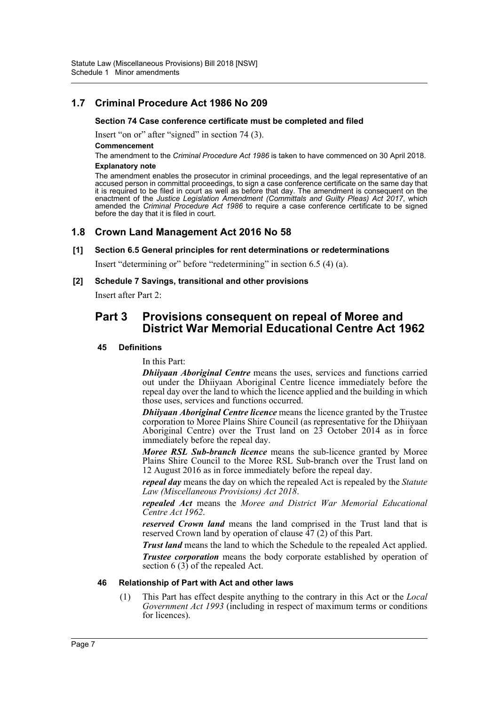### **1.7 Criminal Procedure Act 1986 No 209**

#### **Section 74 Case conference certificate must be completed and filed**

Insert "on or" after "signed" in section 74 (3).

**Commencement**

The amendment to the *Criminal Procedure Act 1986* is taken to have commenced on 30 April 2018. **Explanatory note**

The amendment enables the prosecutor in criminal proceedings, and the legal representative of an accused person in committal proceedings, to sign a case conference certificate on the same day that it is required to be filed in court as well as before that day. The amendment is consequent on the enactment of the *Justice Legislation Amendment (Committals and Guilty Pleas) Act 2017*, which amended the *Criminal Procedure Act 1986* to require a case conference certificate to be signed before the day that it is filed in court.

### **1.8 Crown Land Management Act 2016 No 58**

#### **[1] Section 6.5 General principles for rent determinations or redeterminations**

Insert "determining or" before "redetermining" in section 6.5 (4) (a).

#### **[2] Schedule 7 Savings, transitional and other provisions**

Insert after Part 2:

### **Part 3 Provisions consequent on repeal of Moree and District War Memorial Educational Centre Act 1962**

#### **45 Definitions**

In this Part:

*Dhiiyaan Aboriginal Centre* means the uses, services and functions carried out under the Dhiiyaan Aboriginal Centre licence immediately before the repeal day over the land to which the licence applied and the building in which those uses, services and functions occurred.

*Dhiiyaan Aboriginal Centre licence* means the licence granted by the Trustee corporation to Moree Plains Shire Council (as representative for the Dhiiyaan Aboriginal Centre) over the Trust land on 23 October 2014 as in force immediately before the repeal day.

*Moree RSL Sub-branch licence* means the sub-licence granted by Moree Plains Shire Council to the Moree RSL Sub-branch over the Trust land on 12 August 2016 as in force immediately before the repeal day.

*repeal day* means the day on which the repealed Act is repealed by the *Statute Law (Miscellaneous Provisions) Act 2018*.

*repealed Act* means the *Moree and District War Memorial Educational Centre Act 1962*.

*reserved Crown land* means the land comprised in the Trust land that is reserved Crown land by operation of clause 47 (2) of this Part.

*Trust land* means the land to which the Schedule to the repealed Act applied. *Trustee corporation* means the body corporate established by operation of section 6  $(3)$  of the repealed Act.

#### **46 Relationship of Part with Act and other laws**

(1) This Part has effect despite anything to the contrary in this Act or the *Local Government Act 1993* (including in respect of maximum terms or conditions for licences).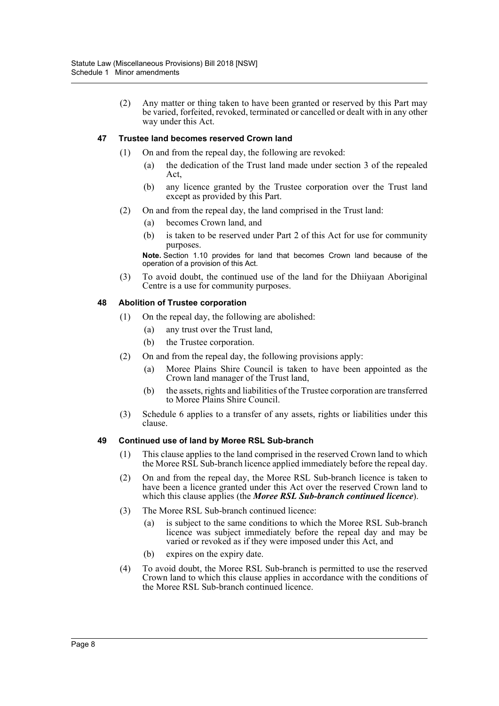(2) Any matter or thing taken to have been granted or reserved by this Part may be varied, forfeited, revoked, terminated or cancelled or dealt with in any other way under this Act.

#### **47 Trustee land becomes reserved Crown land**

- (1) On and from the repeal day, the following are revoked:
	- (a) the dedication of the Trust land made under section 3 of the repealed Act,
	- (b) any licence granted by the Trustee corporation over the Trust land except as provided by this Part.
- (2) On and from the repeal day, the land comprised in the Trust land:
	- (a) becomes Crown land, and
	- (b) is taken to be reserved under Part 2 of this Act for use for community purposes.

**Note.** Section 1.10 provides for land that becomes Crown land because of the operation of a provision of this Act.

(3) To avoid doubt, the continued use of the land for the Dhiiyaan Aboriginal Centre is a use for community purposes.

#### **48 Abolition of Trustee corporation**

- (1) On the repeal day, the following are abolished:
	- (a) any trust over the Trust land,
	- (b) the Trustee corporation.
- (2) On and from the repeal day, the following provisions apply:
	- (a) Moree Plains Shire Council is taken to have been appointed as the Crown land manager of the Trust land,
	- (b) the assets, rights and liabilities of the Trustee corporation are transferred to Moree Plains Shire Council.
- (3) Schedule 6 applies to a transfer of any assets, rights or liabilities under this clause.

#### **49 Continued use of land by Moree RSL Sub-branch**

- (1) This clause applies to the land comprised in the reserved Crown land to which the Moree RSL Sub-branch licence applied immediately before the repeal day.
- (2) On and from the repeal day, the Moree RSL Sub-branch licence is taken to have been a licence granted under this Act over the reserved Crown land to which this clause applies (the *Moree RSL Sub-branch continued licence*).
- (3) The Moree RSL Sub-branch continued licence:
	- (a) is subject to the same conditions to which the Moree RSL Sub-branch licence was subject immediately before the repeal day and may be varied or revoked as if they were imposed under this Act, and
	- (b) expires on the expiry date.
- (4) To avoid doubt, the Moree RSL Sub-branch is permitted to use the reserved Crown land to which this clause applies in accordance with the conditions of the Moree RSL Sub-branch continued licence.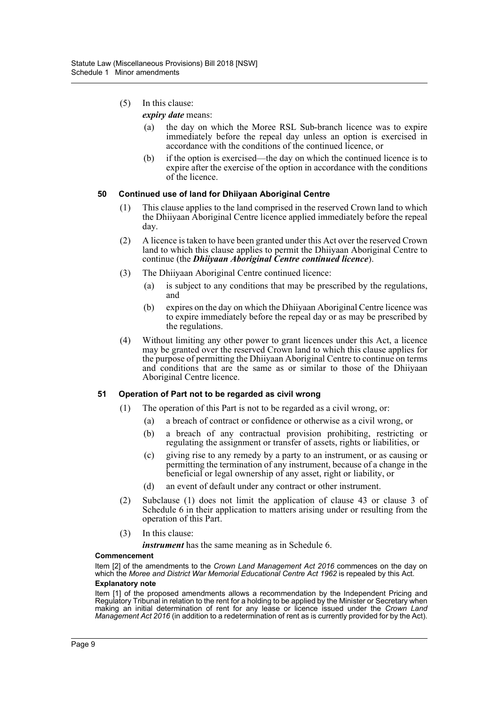- (5) In this clause:
	- *expiry date* means:
		- (a) the day on which the Moree RSL Sub-branch licence was to expire immediately before the repeal day unless an option is exercised in accordance with the conditions of the continued licence, or
		- (b) if the option is exercised—the day on which the continued licence is to expire after the exercise of the option in accordance with the conditions of the licence.

#### **50 Continued use of land for Dhiiyaan Aboriginal Centre**

- (1) This clause applies to the land comprised in the reserved Crown land to which the Dhiiyaan Aboriginal Centre licence applied immediately before the repeal day.
- (2) A licence is taken to have been granted under this Act over the reserved Crown land to which this clause applies to permit the Dhiiyaan Aboriginal Centre to continue (the *Dhiiyaan Aboriginal Centre continued licence*).
- (3) The Dhiiyaan Aboriginal Centre continued licence:
	- (a) is subject to any conditions that may be prescribed by the regulations, and
	- (b) expires on the day on which the Dhiiyaan Aboriginal Centre licence was to expire immediately before the repeal day or as may be prescribed by the regulations.
- (4) Without limiting any other power to grant licences under this Act, a licence may be granted over the reserved Crown land to which this clause applies for the purpose of permitting the Dhiiyaan Aboriginal Centre to continue on terms and conditions that are the same as or similar to those of the Dhiiyaan Aboriginal Centre licence.

#### **51 Operation of Part not to be regarded as civil wrong**

- (1) The operation of this Part is not to be regarded as a civil wrong, or:
	- (a) a breach of contract or confidence or otherwise as a civil wrong, or
		- (b) a breach of any contractual provision prohibiting, restricting or regulating the assignment or transfer of assets, rights or liabilities, or
		- (c) giving rise to any remedy by a party to an instrument, or as causing or permitting the termination of any instrument, because of a change in the beneficial or legal ownership of any asset, right or liability, or
		- (d) an event of default under any contract or other instrument.
- (2) Subclause (1) does not limit the application of clause 43 or clause 3 of Schedule 6 in their application to matters arising under or resulting from the operation of this Part.
- (3) In this clause:

*instrument* has the same meaning as in Schedule 6.

#### **Commencement**

Item [2] of the amendments to the *Crown Land Management Act 2016* commences on the day on which the *Moree and District War Memorial Educational Centre Act 1962* is repealed by this Act.

### **Explanatory note**

Item [1] of the proposed amendments allows a recommendation by the Independent Pricing and Regulatory Tribunal in relation to the rent for a holding to be applied by the Minister or Secretary when making an initial determination of rent for any lease or licence issued under the *Crown Land Management Act 2016* (in addition to a redetermination of rent as is currently provided for by the Act).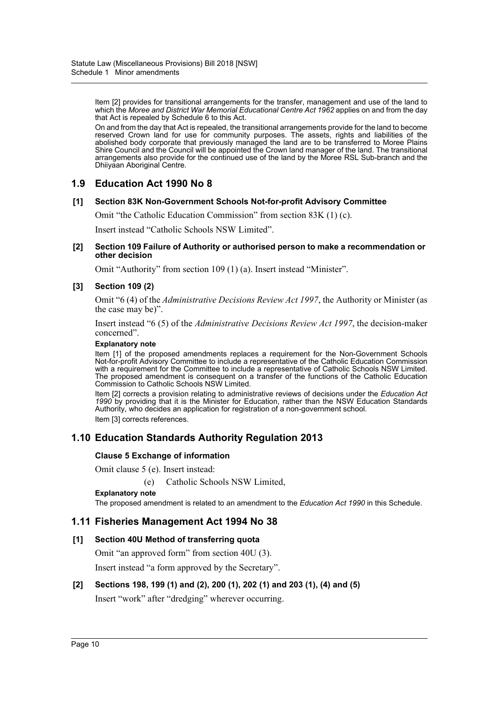Item [2] provides for transitional arrangements for the transfer, management and use of the land to which the *Moree and District War Memorial Educational Centre Act 1962* applies on and from the day that Act is repealed by Schedule 6 to this Act.

On and from the day that Act is repealed, the transitional arrangements provide for the land to become reserved Crown land for use for community purposes. The assets, rights and liabilities of the abolished body corporate that previously managed the land are to be transferred to Moree Plains Shire Council and the Council will be appointed the Crown land manager of the land. The transitional arrangements also provide for the continued use of the land by the Moree RSL Sub-branch and the Dhiiyaan Aboriginal Centre.

### **1.9 Education Act 1990 No 8**

#### **[1] Section 83K Non-Government Schools Not-for-profit Advisory Committee**

Omit "the Catholic Education Commission" from section 83K (1) (c).

Insert instead "Catholic Schools NSW Limited".

#### **[2] Section 109 Failure of Authority or authorised person to make a recommendation or other decision**

Omit "Authority" from section 109 (1) (a). Insert instead "Minister".

#### **[3] Section 109 (2)**

Omit "6 (4) of the *Administrative Decisions Review Act 1997*, the Authority or Minister (as the case may be)".

Insert instead "6 (5) of the *Administrative Decisions Review Act 1997*, the decision-maker concerned".

#### **Explanatory note**

Item [1] of the proposed amendments replaces a requirement for the Non-Government Schools Not-for-profit Advisory Committee to include a representative of the Catholic Education Commission with a requirement for the Committee to include a representative of Catholic Schools NSW Limited. The proposed amendment is consequent on a transfer of the functions of the Catholic Education Commission to Catholic Schools NSW Limited.

Item [2] corrects a provision relating to administrative reviews of decisions under the *Education Act 1990* by providing that it is the Minister for Education, rather than the NSW Education Standards Authority, who decides an application for registration of a non-government school. Item [3] corrects references.

### **1.10 Education Standards Authority Regulation 2013**

#### **Clause 5 Exchange of information**

Omit clause 5 (e). Insert instead:

(e) Catholic Schools NSW Limited,

#### **Explanatory note**

The proposed amendment is related to an amendment to the *Education Act 1990* in this Schedule.

### **1.11 Fisheries Management Act 1994 No 38**

#### **[1] Section 40U Method of transferring quota**

Omit "an approved form" from section 40U (3).

Insert instead "a form approved by the Secretary".

#### **[2] Sections 198, 199 (1) and (2), 200 (1), 202 (1) and 203 (1), (4) and (5)**

Insert "work" after "dredging" wherever occurring.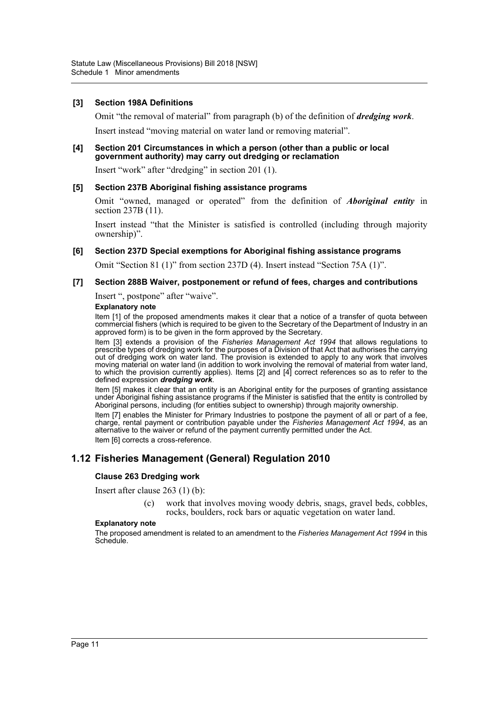#### **[3] Section 198A Definitions**

Omit "the removal of material" from paragraph (b) of the definition of *dredging work*.

Insert instead "moving material on water land or removing material".

#### **[4] Section 201 Circumstances in which a person (other than a public or local government authority) may carry out dredging or reclamation**

Insert "work" after "dredging" in section 201 (1).

#### **[5] Section 237B Aboriginal fishing assistance programs**

Omit "owned, managed or operated" from the definition of *Aboriginal entity* in section 237B (11).

Insert instead "that the Minister is satisfied is controlled (including through majority ownership)".

#### **[6] Section 237D Special exemptions for Aboriginal fishing assistance programs**

Omit "Section 81 (1)" from section 237D (4). Insert instead "Section 75A (1)".

#### **[7] Section 288B Waiver, postponement or refund of fees, charges and contributions**

Insert ", postpone" after "waive".

#### **Explanatory note**

Item [1] of the proposed amendments makes it clear that a notice of a transfer of quota between commercial fishers (which is required to be given to the Secretary of the Department of Industry in an approved form) is to be given in the form approved by the Secretary.

Item [3] extends a provision of the *Fisheries Management Act 1994* that allows regulations to prescribe types of dredging work for the purposes of a Division of that Act that authorises the carrying out of dredging work on water land. The provision is extended to apply to any work that involves moving material on water land (in addition to work involving the removal of material from water land, to which the provision currently applies). Items [2] and [4] correct references so as to refer to the defined expression *dredging work*.

Item [5] makes it clear that an entity is an Aboriginal entity for the purposes of granting assistance under Aboriginal fishing assistance programs if the Minister is satisfied that the entity is controlled by Aboriginal persons, including (for entities subject to ownership) through majority ownership.

Item [7] enables the Minister for Primary Industries to postpone the payment of all or part of a fee, charge, rental payment or contribution payable under the *Fisheries Management Act 1994*, as an alternative to the waiver or refund of the payment currently permitted under the Act. Item [6] corrects a cross-reference.

### **1.12 Fisheries Management (General) Regulation 2010**

#### **Clause 263 Dredging work**

Insert after clause 263 (1) (b):

(c) work that involves moving woody debris, snags, gravel beds, cobbles, rocks, boulders, rock bars or aquatic vegetation on water land.

#### **Explanatory note**

The proposed amendment is related to an amendment to the *Fisheries Management Act 1994* in this Schedule.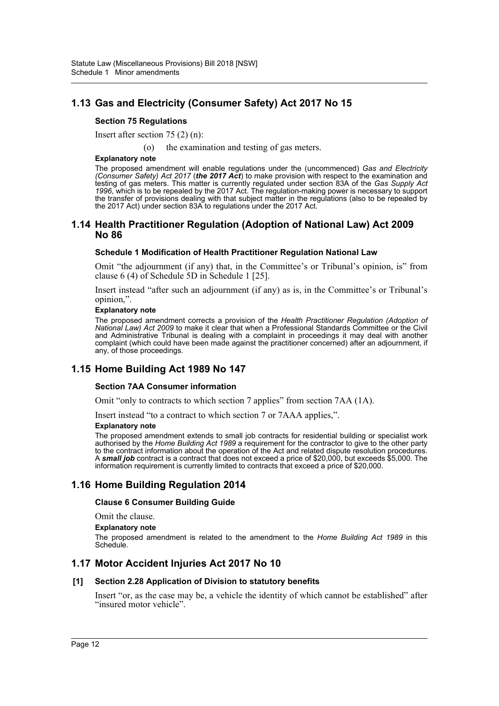### **1.13 Gas and Electricity (Consumer Safety) Act 2017 No 15**

#### **Section 75 Regulations**

Insert after section 75 (2) (n):

(o) the examination and testing of gas meters.

**Explanatory note**

The proposed amendment will enable regulations under the (uncommenced) *Gas and Electricity (Consumer Safety) Act 2017* (*the 2017 Act*) to make provision with respect to the examination and testing of gas meters. This matter is currently regulated under section 83A of the *Gas Supply Act 1996*, which is to be repealed by the 2017 Act. The regulation-making power is necessary to support the transfer of provisions dealing with that subject matter in the regulations (also to be repealed by the 2017 Act) under section 83A to regulations under the 2017 Act.

#### **1.14 Health Practitioner Regulation (Adoption of National Law) Act 2009 No 86**

#### **Schedule 1 Modification of Health Practitioner Regulation National Law**

Omit "the adjournment (if any) that, in the Committee's or Tribunal's opinion, is" from clause 6 (4) of Schedule 5D in Schedule 1 [25].

Insert instead "after such an adjournment (if any) as is, in the Committee's or Tribunal's opinion,".

#### **Explanatory note**

The proposed amendment corrects a provision of the *Health Practitioner Regulation (Adoption of National Law) Act 2009* to make it clear that when a Professional Standards Committee or the Civil and Administrative Tribunal is dealing with a complaint in proceedings it may deal with another complaint (which could have been made against the practitioner concerned) after an adjournment, if any, of those proceedings.

### **1.15 Home Building Act 1989 No 147**

#### **Section 7AA Consumer information**

Omit "only to contracts to which section 7 applies" from section 7AA (1A).

Insert instead "to a contract to which section 7 or 7AAA applies,".

#### **Explanatory note**

The proposed amendment extends to small job contracts for residential building or specialist work authorised by the *Home Building Act 1989* a requirement for the contractor to give to the other party to the contract information about the operation of the Act and related dispute resolution procedures. A *small job* contract is a contract that does not exceed a price of \$20,000, but exceeds \$5,000. The information requirement is currently limited to contracts that exceed a price of \$20,000.

### **1.16 Home Building Regulation 2014**

#### **Clause 6 Consumer Building Guide**

Omit the clause.

#### **Explanatory note**

The proposed amendment is related to the amendment to the *Home Building Act 1989* in this Schedule.

### **1.17 Motor Accident Injuries Act 2017 No 10**

#### **[1] Section 2.28 Application of Division to statutory benefits**

Insert "or, as the case may be, a vehicle the identity of which cannot be established" after "insured motor vehicle".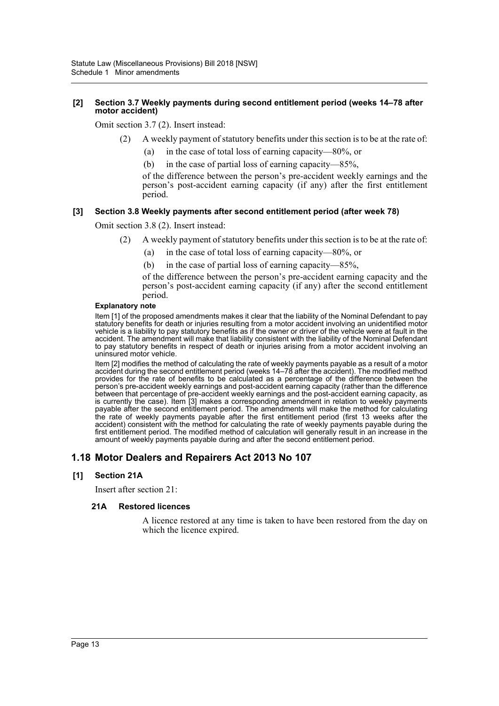#### **[2] Section 3.7 Weekly payments during second entitlement period (weeks 14–78 after motor accident)**

Omit section 3.7 (2). Insert instead:

- (2) A weekly payment of statutory benefits under this section is to be at the rate of:
	- (a) in the case of total loss of earning capacity—80%, or
	- (b) in the case of partial loss of earning capacity—85%,

of the difference between the person's pre-accident weekly earnings and the person's post-accident earning capacity (if any) after the first entitlement period.

#### **[3] Section 3.8 Weekly payments after second entitlement period (after week 78)**

Omit section 3.8 (2). Insert instead:

- (2) A weekly payment of statutory benefits under this section is to be at the rate of:
	- (a) in the case of total loss of earning capacity—80%, or
	- (b) in the case of partial loss of earning capacity—85%,

of the difference between the person's pre-accident earning capacity and the person's post-accident earning capacity (if any) after the second entitlement period.

#### **Explanatory note**

Item [1] of the proposed amendments makes it clear that the liability of the Nominal Defendant to pay statutory benefits for death or injuries resulting from a motor accident involving an unidentified motor vehicle is a liability to pay statutory benefits as if the owner or driver of the vehicle were at fault in the accident. The amendment will make that liability consistent with the liability of the Nominal Defendant to pay statutory benefits in respect of death or injuries arising from a motor accident involving an uninsured motor vehicle.

Item [2] modifies the method of calculating the rate of weekly payments payable as a result of a motor accident during the second entitlement period (weeks 14–78 after the accident). The modified method provides for the rate of benefits to be calculated as a percentage of the difference between the person's pre-accident weekly earnings and post-accident earning capacity (rather than the difference between that percentage of pre-accident weekly earnings and the post-accident earning capacity, as is currently the case). Item [3] makes a corresponding amendment in relation to weekly payments payable after the second entitlement period. The amendments will make the method for calculating the rate of weekly payments payable after the first entitlement period (first 13 weeks after the accident) consistent with the method for calculating the rate of weekly payments payable during the first entitlement period. The modified method of calculation will generally result in an increase in the amount of weekly payments payable during and after the second entitlement period.

### **1.18 Motor Dealers and Repairers Act 2013 No 107**

#### **[1] Section 21A**

Insert after section 21:

#### **21A Restored licences**

A licence restored at any time is taken to have been restored from the day on which the licence expired.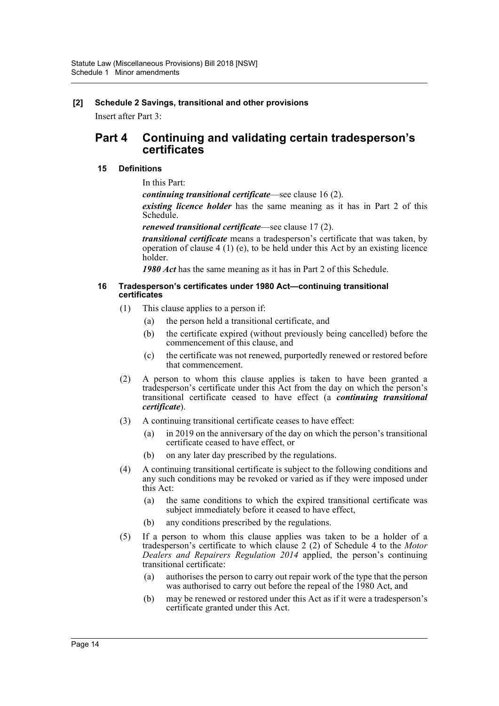### **[2] Schedule 2 Savings, transitional and other provisions**

Insert after Part 3:

### **Part 4 Continuing and validating certain tradesperson's certificates**

#### **15 Definitions**

In this Part:

*continuing transitional certificate*—see clause 16 (2).

*existing licence holder* has the same meaning as it has in Part 2 of this Schedule.

*renewed transitional certificate*—see clause 17 (2).

*transitional certificate* means a tradesperson's certificate that was taken, by operation of clause 4 (1) (e), to be held under this Act by an existing licence holder.

*1980 Act* has the same meaning as it has in Part 2 of this Schedule.

#### **16 Tradesperson's certificates under 1980 Act—continuing transitional certificates**

- (1) This clause applies to a person if:
	- (a) the person held a transitional certificate, and
	- (b) the certificate expired (without previously being cancelled) before the commencement of this clause, and
	- (c) the certificate was not renewed, purportedly renewed or restored before that commencement.
- (2) A person to whom this clause applies is taken to have been granted a tradesperson's certificate under this Act from the day on which the person's transitional certificate ceased to have effect (a *continuing transitional certificate*).
- (3) A continuing transitional certificate ceases to have effect:
	- (a) in 2019 on the anniversary of the day on which the person's transitional certificate ceased to have effect, or
	- (b) on any later day prescribed by the regulations.
- (4) A continuing transitional certificate is subject to the following conditions and any such conditions may be revoked or varied as if they were imposed under this Act:
	- (a) the same conditions to which the expired transitional certificate was subject immediately before it ceased to have effect,
	- (b) any conditions prescribed by the regulations.
- (5) If a person to whom this clause applies was taken to be a holder of a tradesperson's certificate to which clause 2 (2) of Schedule 4 to the *Motor Dealers and Repairers Regulation 2014* applied, the person's continuing transitional certificate:
	- (a) authorises the person to carry out repair work of the type that the person was authorised to carry out before the repeal of the 1980 Act, and
	- (b) may be renewed or restored under this Act as if it were a tradesperson's certificate granted under this Act.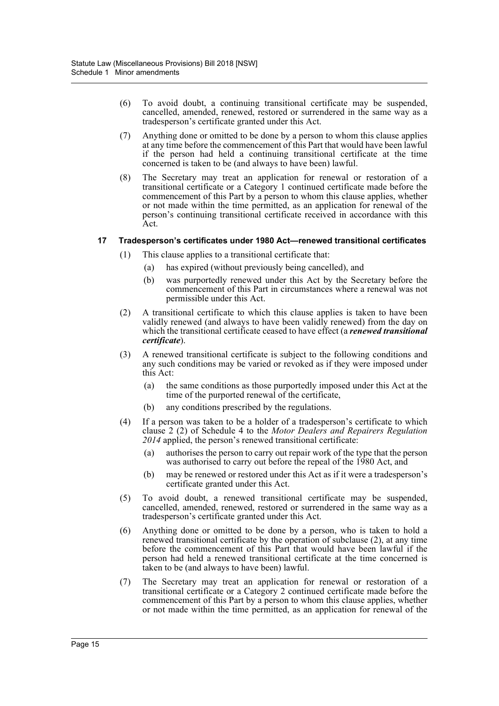- (6) To avoid doubt, a continuing transitional certificate may be suspended, cancelled, amended, renewed, restored or surrendered in the same way as a tradesperson's certificate granted under this Act.
- (7) Anything done or omitted to be done by a person to whom this clause applies at any time before the commencement of this Part that would have been lawful if the person had held a continuing transitional certificate at the time concerned is taken to be (and always to have been) lawful.
- (8) The Secretary may treat an application for renewal or restoration of a transitional certificate or a Category 1 continued certificate made before the commencement of this Part by a person to whom this clause applies, whether or not made within the time permitted, as an application for renewal of the person's continuing transitional certificate received in accordance with this Act.

#### **17 Tradesperson's certificates under 1980 Act—renewed transitional certificates**

- (1) This clause applies to a transitional certificate that:
	- (a) has expired (without previously being cancelled), and
	- (b) was purportedly renewed under this Act by the Secretary before the commencement of this Part in circumstances where a renewal was not permissible under this Act.
- (2) A transitional certificate to which this clause applies is taken to have been validly renewed (and always to have been validly renewed) from the day on which the transitional certificate ceased to have effect (a *renewed transitional certificate*).
- (3) A renewed transitional certificate is subject to the following conditions and any such conditions may be varied or revoked as if they were imposed under this Act:
	- (a) the same conditions as those purportedly imposed under this Act at the time of the purported renewal of the certificate,
	- (b) any conditions prescribed by the regulations.
- (4) If a person was taken to be a holder of a tradesperson's certificate to which clause 2 (2) of Schedule 4 to the *Motor Dealers and Repairers Regulation 2014* applied, the person's renewed transitional certificate:
	- (a) authorises the person to carry out repair work of the type that the person was authorised to carry out before the repeal of the 1980 Act, and
	- (b) may be renewed or restored under this Act as if it were a tradesperson's certificate granted under this Act.
- (5) To avoid doubt, a renewed transitional certificate may be suspended, cancelled, amended, renewed, restored or surrendered in the same way as a tradesperson's certificate granted under this Act.
- (6) Anything done or omitted to be done by a person, who is taken to hold a renewed transitional certificate by the operation of subclause (2), at any time before the commencement of this Part that would have been lawful if the person had held a renewed transitional certificate at the time concerned is taken to be (and always to have been) lawful.
- (7) The Secretary may treat an application for renewal or restoration of a transitional certificate or a Category 2 continued certificate made before the commencement of this Part by a person to whom this clause applies, whether or not made within the time permitted, as an application for renewal of the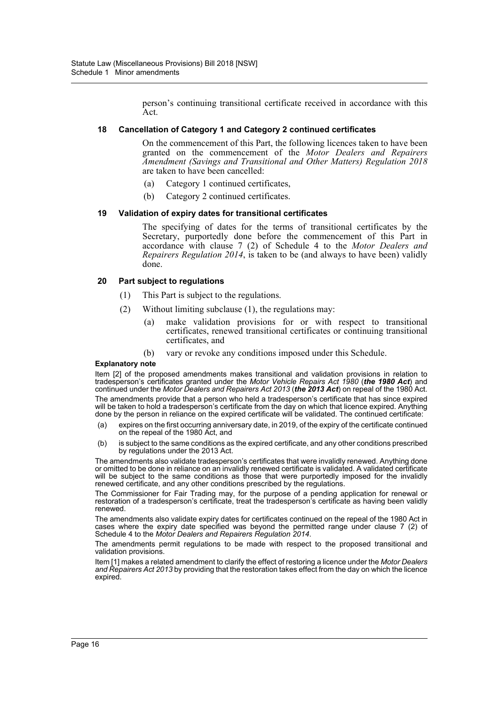person's continuing transitional certificate received in accordance with this Act.

#### **18 Cancellation of Category 1 and Category 2 continued certificates**

On the commencement of this Part, the following licences taken to have been granted on the commencement of the *Motor Dealers and Repairers Amendment (Savings and Transitional and Other Matters) Regulation 2018* are taken to have been cancelled:

- (a) Category 1 continued certificates,
- (b) Category 2 continued certificates.

#### **19 Validation of expiry dates for transitional certificates**

The specifying of dates for the terms of transitional certificates by the Secretary, purportedly done before the commencement of this Part in accordance with clause 7 (2) of Schedule 4 to the *Motor Dealers and Repairers Regulation 2014*, is taken to be (and always to have been) validly done.

#### **20 Part subject to regulations**

- (1) This Part is subject to the regulations.
- (2) Without limiting subclause (1), the regulations may:
	- (a) make validation provisions for or with respect to transitional certificates, renewed transitional certificates or continuing transitional certificates, and
	- (b) vary or revoke any conditions imposed under this Schedule.

#### **Explanatory note**

Item [2] of the proposed amendments makes transitional and validation provisions in relation to tradesperson's certificates granted under the *Motor Vehicle Repairs Act 1980* (*the 1980 Act*) and continued under the *Motor Dealers and Repairers Act 2013* (*the 2013 Act*) on repeal of the 1980 Act. The amendments provide that a person who held a tradesperson's certificate that has since expired will be taken to hold a tradesperson's certificate from the day on which that licence expired. Anything done by the person in reliance on the expired certificate will be validated. The continued certificate:

- (a) expires on the first occurring anniversary date, in 2019, of the expiry of the certificate continued on the repeal of the 1980 Act, and
- (b) is subject to the same conditions as the expired certificate, and any other conditions prescribed by regulations under the 2013 Act.

The amendments also validate tradesperson's certificates that were invalidly renewed. Anything done or omitted to be done in reliance on an invalidly renewed certificate is validated. A validated certificate will be subject to the same conditions as those that were purportedly imposed for the invalidly renewed certificate, and any other conditions prescribed by the regulations.

The Commissioner for Fair Trading may, for the purpose of a pending application for renewal or restoration of a tradesperson's certificate, treat the tradesperson's certificate as having been validly renewed.

The amendments also validate expiry dates for certificates continued on the repeal of the 1980 Act in cases where the expiry date specified was beyond the permitted range under clause 7 (2) of Schedule 4 to the *Motor Dealers and Repairers Regulation 2014*.

The amendments permit regulations to be made with respect to the proposed transitional and validation provisions.

Item [1] makes a related amendment to clarify the effect of restoring a licence under the *Motor Dealers and Repairers Act 2013* by providing that the restoration takes effect from the day on which the licence expired.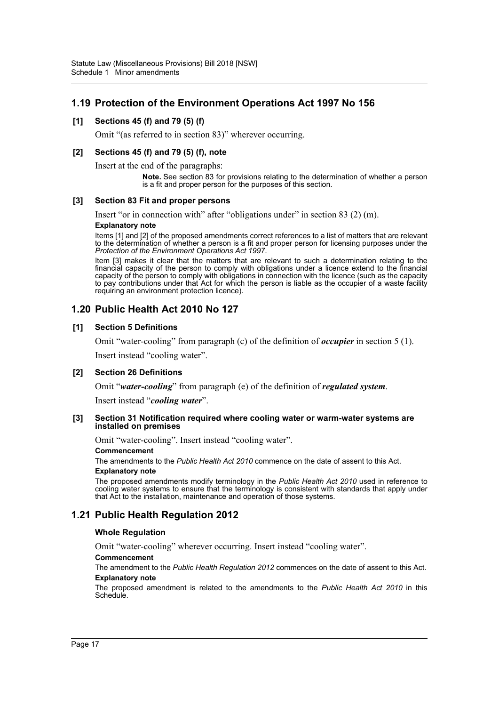### **1.19 Protection of the Environment Operations Act 1997 No 156**

#### **[1] Sections 45 (f) and 79 (5) (f)**

Omit "(as referred to in section 83)" wherever occurring.

#### **[2] Sections 45 (f) and 79 (5) (f), note**

Insert at the end of the paragraphs:

**Note.** See section 83 for provisions relating to the determination of whether a person is a fit and proper person for the purposes of this section.

#### **[3] Section 83 Fit and proper persons**

Insert "or in connection with" after "obligations under" in section 83 (2) (m). **Explanatory note**

Items [1] and [2] of the proposed amendments correct references to a list of matters that are relevant to the determination of whether a person is a fit and proper person for licensing purposes under the *Protection of the Environment Operations Act 1997*.

Item [3] makes it clear that the matters that are relevant to such a determination relating to the financial capacity of the person to comply with obligations under a licence extend to the financial capacity of the person to comply with obligations in connection with the licence (such as the capacity to pay contributions under that Act for which the person is liable as the occupier of a waste facility requiring an environment protection licence).

### **1.20 Public Health Act 2010 No 127**

#### **[1] Section 5 Definitions**

Omit "water-cooling" from paragraph (c) of the definition of *occupier* in section 5 (1).

Insert instead "cooling water".

#### **[2] Section 26 Definitions**

Omit "*water-cooling*" from paragraph (e) of the definition of *regulated system*.

Insert instead "*cooling water*".

#### **[3] Section 31 Notification required where cooling water or warm-water systems are installed on premises**

Omit "water-cooling". Insert instead "cooling water".

#### **Commencement**

The amendments to the *Public Health Act 2010* commence on the date of assent to this Act.

#### **Explanatory note**

The proposed amendments modify terminology in the *Public Health Act 2010* used in reference to cooling water systems to ensure that the terminology is consistent with standards that apply under that Act to the installation, maintenance and operation of those systems.

### **1.21 Public Health Regulation 2012**

#### **Whole Regulation**

Omit "water-cooling" wherever occurring. Insert instead "cooling water".

#### **Commencement**

The amendment to the *Public Health Regulation 2012* commences on the date of assent to this Act. **Explanatory note**

The proposed amendment is related to the amendments to the *Public Health Act 2010* in this Schedule.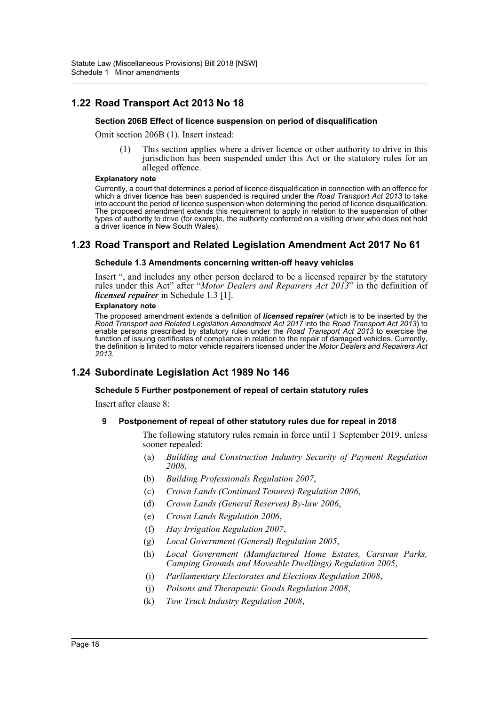### **1.22 Road Transport Act 2013 No 18**

#### **Section 206B Effect of licence suspension on period of disqualification**

Omit section 206B (1). Insert instead:

(1) This section applies where a driver licence or other authority to drive in this jurisdiction has been suspended under this Act or the statutory rules for an alleged offence.

#### **Explanatory note**

Currently, a court that determines a period of licence disqualification in connection with an offence for which a driver licence has been suspended is required under the *Road Transport Act 2013* to take into account the period of licence suspension when determining the period of licence disqualification. The proposed amendment extends this requirement to apply in relation to the suspension of other types of authority to drive (for example, the authority conferred on a visiting driver who does not hold a driver licence in New South Wales).

### **1.23 Road Transport and Related Legislation Amendment Act 2017 No 61**

#### **Schedule 1.3 Amendments concerning written-off heavy vehicles**

Insert ", and includes any other person declared to be a licensed repairer by the statutory rules under this Act" after "*Motor Dealers and Repairers Act 2013*" in the definition of *licensed repairer* in Schedule 1.3 [1].

#### **Explanatory note**

The proposed amendment extends a definition of *licensed repairer* (which is to be inserted by the *Road Transport and Related Legislation Amendment Act 2017* into the *Road Transport Act 2013*) to enable persons prescribed by statutory rules under the *Road Transport Act 2013* to exercise the function of issuing certificates of compliance in relation to the repair of damaged vehicles. Currently, the definition is limited to motor vehicle repairers licensed under the Motor Dealers and Repairers Act *2013*.

### **1.24 Subordinate Legislation Act 1989 No 146**

#### **Schedule 5 Further postponement of repeal of certain statutory rules**

Insert after clause 8:

#### **9 Postponement of repeal of other statutory rules due for repeal in 2018**

The following statutory rules remain in force until 1 September 2019, unless sooner repealed:

- (a) *Building and Construction Industry Security of Payment Regulation 2008*,
- (b) *Building Professionals Regulation 2007*,
- (c) *Crown Lands (Continued Tenures) Regulation 2006*,
- (d) *Crown Lands (General Reserves) By-law 2006*,
- (e) *Crown Lands Regulation 2006*,
- (f) *Hay Irrigation Regulation 2007*,
- (g) *Local Government (General) Regulation 2005*,
- (h) *Local Government (Manufactured Home Estates, Caravan Parks, Camping Grounds and Moveable Dwellings) Regulation 2005*,
- (i) *Parliamentary Electorates and Elections Regulation 2008*,
- (j) *Poisons and Therapeutic Goods Regulation 2008*,
- (k) *Tow Truck Industry Regulation 2008*,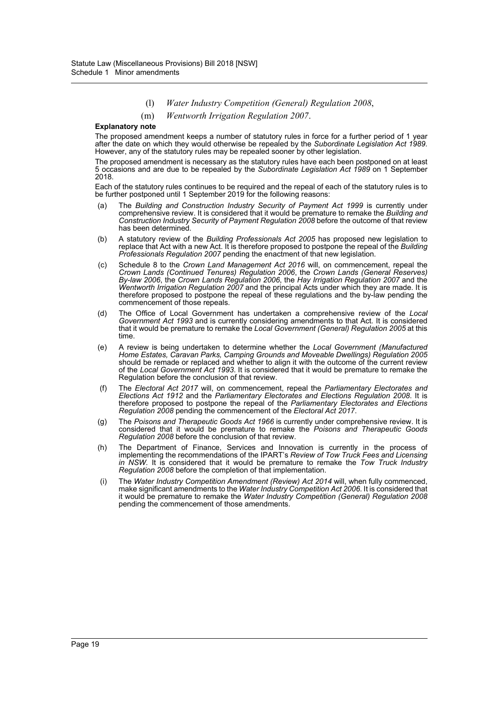- (l) *Water Industry Competition (General) Regulation 2008*,
- (m) *Wentworth Irrigation Regulation 2007*.

#### **Explanatory note**

The proposed amendment keeps a number of statutory rules in force for a further period of 1 year after the date on which they would otherwise be repealed by the *Subordinate Legislation Act 1989*. However, any of the statutory rules may be repealed sooner by other legislation.

The proposed amendment is necessary as the statutory rules have each been postponed on at least 5 occasions and are due to be repealed by the *Subordinate Legislation Act 1989* on 1 September 2018.

Each of the statutory rules continues to be required and the repeal of each of the statutory rules is to be further postponed until 1 September 2019 for the following reasons:

- (a) The *Building and Construction Industry Security of Payment Act 1999* is currently under comprehensive review. It is considered that it would be premature to remake the *Building and Construction Industry Security of Payment Regulation 2008* before the outcome of that review has been determined.
- (b) A statutory review of the *Building Professionals Act 2005* has proposed new legislation to replace that Act with a new Act. It is therefore proposed to postpone the repeal of the *Building Professionals Regulation 2007* pending the enactment of that new legislation.
- (c) Schedule 8 to the *Crown Land Management Act 2016* will, on commencement, repeal the *Crown Lands (Continued Tenures) Regulation 2006*, the *Crown Lands (General Reserves) By-law 2006*, the *Crown Lands Regulation 2006*, the *Hay Irrigation Regulation 2007* and the *Wentworth Irrigation Regulation 2007* and the principal Acts under which they are made. It is therefore proposed to postpone the repeal of these regulations and the by-law pending the commencement of those repeals.
- (d) The Office of Local Government has undertaken a comprehensive review of the *Local Government Act 1993* and is currently considering amendments to that Act. It is considered that it would be premature to remake the *Local Government (General) Regulation 2005* at this time.
- (e) A review is being undertaken to determine whether the *Local Government (Manufactured Home Estates, Caravan Parks, Camping Grounds and Moveable Dwellings) Regulation 2005* should be remade or replaced and whether to align it with the outcome of the current review of the *Local Government Act 1993*. It is considered that it would be premature to remake the Regulation before the conclusion of that review.
- (f) The *Electoral Act 2017* will, on commencement, repeal the *Parliamentary Electorates and Elections Act 1912* and the *Parliamentary Electorates and Elections Regulation 2008*. It is therefore proposed to postpone the repeal of the *Parliamentary Electorates and Elections Regulation 2008* pending the commencement of the *Electoral Act 2017*.
- (g) The *Poisons and Therapeutic Goods Act 1966* is currently under comprehensive review. It is considered that it would be premature to remake the *Poisons and Therapeutic Goods Regulation 2008* before the conclusion of that review.
- (h) The Department of Finance, Services and Innovation is currently in the process of implementing the recommendations of the IPART's *Review of Tow Truck Fees and Licensing in NSW*. It is considered that it would be premature to remake the *Tow Truck Industry Regulation 2008* before the completion of that implementation.
- (i) The *Water Industry Competition Amendment (Review) Act 2014* will, when fully commenced, make significant amendments to the *Water Industry Competition Act 2006*. It is considered that it would be premature to remake the *Water Industry Competition (General) Regulation 2008* pending the commencement of those amendments.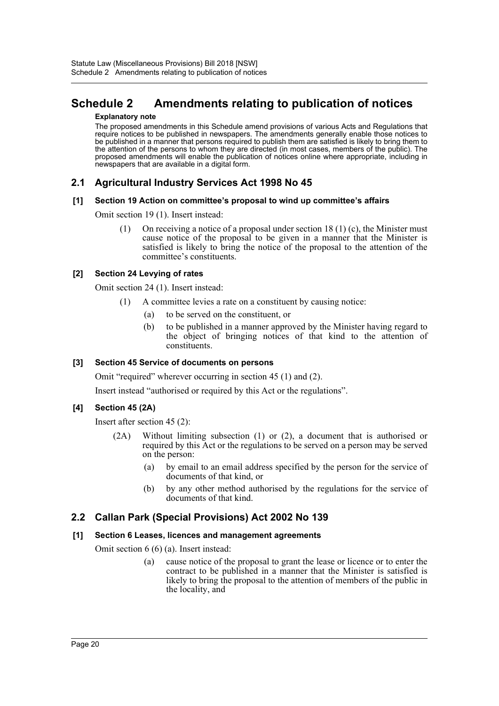## <span id="page-20-0"></span>**Schedule 2 Amendments relating to publication of notices**

#### **Explanatory note**

The proposed amendments in this Schedule amend provisions of various Acts and Regulations that require notices to be published in newspapers. The amendments generally enable those notices to be published in a manner that persons required to publish them are satisfied is likely to bring them to the attention of the persons to whom they are directed (in most cases, members of the public). The proposed amendments will enable the publication of notices online where appropriate, including in newspapers that are available in a digital form.

### **2.1 Agricultural Industry Services Act 1998 No 45**

#### **[1] Section 19 Action on committee's proposal to wind up committee's affairs**

Omit section 19 (1). Insert instead:

(1) On receiving a notice of a proposal under section  $18(1)$  (c), the Minister must cause notice of the proposal to be given in a manner that the Minister is satisfied is likely to bring the notice of the proposal to the attention of the committee's constituents.

#### **[2] Section 24 Levying of rates**

Omit section 24 (1). Insert instead:

- (1) A committee levies a rate on a constituent by causing notice:
	- (a) to be served on the constituent, or
	- (b) to be published in a manner approved by the Minister having regard to the object of bringing notices of that kind to the attention of constituents.

#### **[3] Section 45 Service of documents on persons**

Omit "required" wherever occurring in section 45 (1) and (2).

Insert instead "authorised or required by this Act or the regulations".

### **[4] Section 45 (2A)**

Insert after section 45 (2):

- (2A) Without limiting subsection (1) or (2), a document that is authorised or required by this Act or the regulations to be served on a person may be served on the person:
	- (a) by email to an email address specified by the person for the service of documents of that kind, or
	- (b) by any other method authorised by the regulations for the service of documents of that kind.

### **2.2 Callan Park (Special Provisions) Act 2002 No 139**

#### **[1] Section 6 Leases, licences and management agreements**

Omit section 6 (6) (a). Insert instead:

(a) cause notice of the proposal to grant the lease or licence or to enter the contract to be published in a manner that the Minister is satisfied is likely to bring the proposal to the attention of members of the public in the locality, and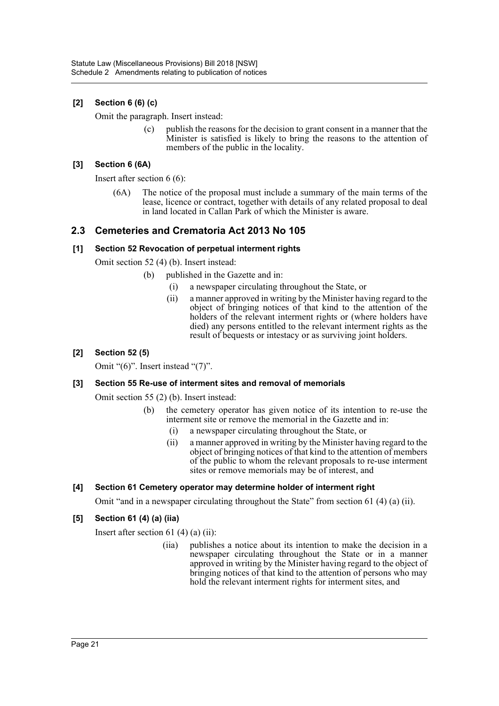### **[2] Section 6 (6) (c)**

Omit the paragraph. Insert instead:

(c) publish the reasons for the decision to grant consent in a manner that the Minister is satisfied is likely to bring the reasons to the attention of members of the public in the locality.

### **[3] Section 6 (6A)**

Insert after section 6 (6):

(6A) The notice of the proposal must include a summary of the main terms of the lease, licence or contract, together with details of any related proposal to deal in land located in Callan Park of which the Minister is aware.

### **2.3 Cemeteries and Crematoria Act 2013 No 105**

#### **[1] Section 52 Revocation of perpetual interment rights**

Omit section 52 (4) (b). Insert instead:

- (b) published in the Gazette and in:
	- (i) a newspaper circulating throughout the State, or
	- (ii) a manner approved in writing by the Minister having regard to the object of bringing notices of that kind to the attention of the holders of the relevant interment rights or (where holders have died) any persons entitled to the relevant interment rights as the result of bequests or intestacy or as surviving joint holders.

### **[2] Section 52 (5)**

Omit "(6)". Insert instead "(7)".

#### **[3] Section 55 Re-use of interment sites and removal of memorials**

Omit section 55 (2) (b). Insert instead:

- (b) the cemetery operator has given notice of its intention to re-use the interment site or remove the memorial in the Gazette and in:
	- (i) a newspaper circulating throughout the State, or
	- (ii) a manner approved in writing by the Minister having regard to the object of bringing notices of that kind to the attention of members of the public to whom the relevant proposals to re-use interment sites or remove memorials may be of interest, and

### **[4] Section 61 Cemetery operator may determine holder of interment right**

Omit "and in a newspaper circulating throughout the State" from section 61 (4) (a) (ii).

### **[5] Section 61 (4) (a) (iia)**

Insert after section 61 $(4)$  $(a)$  $(ii)$ :

(iia) publishes a notice about its intention to make the decision in a newspaper circulating throughout the State or in a manner approved in writing by the Minister having regard to the object of bringing notices of that kind to the attention of persons who may hold the relevant interment rights for interment sites, and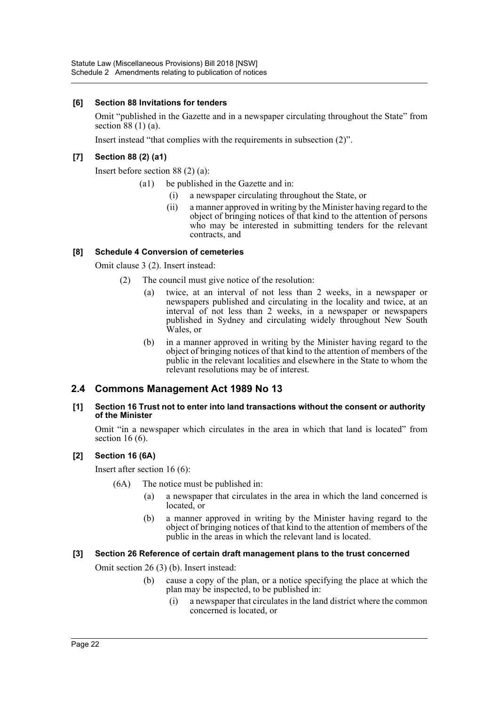### **[6] Section 88 Invitations for tenders**

Omit "published in the Gazette and in a newspaper circulating throughout the State" from section 88 (1) (a).

Insert instead "that complies with the requirements in subsection (2)".

### **[7] Section 88 (2) (a1)**

Insert before section 88 (2) (a):

- (a1) be published in the Gazette and in:
	- (i) a newspaper circulating throughout the State, or
	- (ii) a manner approved in writing by the Minister having regard to the object of bringing notices of that kind to the attention of persons who may be interested in submitting tenders for the relevant contracts, and

#### **[8] Schedule 4 Conversion of cemeteries**

Omit clause 3 (2). Insert instead:

- (2) The council must give notice of the resolution:
	- (a) twice, at an interval of not less than 2 weeks, in a newspaper or newspapers published and circulating in the locality and twice, at an interval of not less than 2 weeks, in a newspaper or newspapers published in Sydney and circulating widely throughout New South Wales, or
	- (b) in a manner approved in writing by the Minister having regard to the object of bringing notices of that kind to the attention of members of the public in the relevant localities and elsewhere in the State to whom the relevant resolutions may be of interest.

### **2.4 Commons Management Act 1989 No 13**

#### **[1] Section 16 Trust not to enter into land transactions without the consent or authority of the Minister**

Omit "in a newspaper which circulates in the area in which that land is located" from section 16 (6).

### **[2] Section 16 (6A)**

Insert after section 16 (6):

- (6A) The notice must be published in:
	- a newspaper that circulates in the area in which the land concerned is located, or
	- (b) a manner approved in writing by the Minister having regard to the object of bringing notices of that kind to the attention of members of the public in the areas in which the relevant land is located.

#### **[3] Section 26 Reference of certain draft management plans to the trust concerned**

Omit section 26 (3) (b). Insert instead:

- (b) cause a copy of the plan, or a notice specifying the place at which the plan may be inspected, to be published in:
	- (i) a newspaper that circulates in the land district where the common concerned is located, or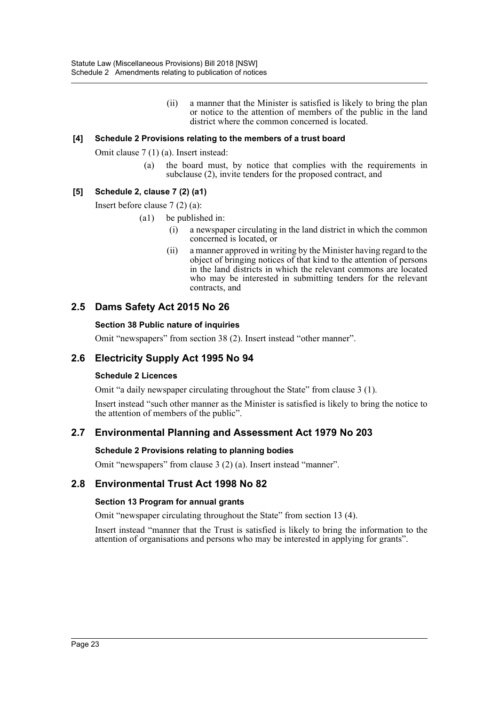(ii) a manner that the Minister is satisfied is likely to bring the plan or notice to the attention of members of the public in the land district where the common concerned is located.

#### **[4] Schedule 2 Provisions relating to the members of a trust board**

Omit clause 7 (1) (a). Insert instead:

(a) the board must, by notice that complies with the requirements in subclause (2), invite tenders for the proposed contract, and

### **[5] Schedule 2, clause 7 (2) (a1)**

Insert before clause 7 (2) (a):

(a1) be published in:

- (i) a newspaper circulating in the land district in which the common concerned is located, or
- (ii) a manner approved in writing by the Minister having regard to the object of bringing notices of that kind to the attention of persons in the land districts in which the relevant commons are located who may be interested in submitting tenders for the relevant contracts, and

### **2.5 Dams Safety Act 2015 No 26**

#### **Section 38 Public nature of inquiries**

Omit "newspapers" from section 38 (2). Insert instead "other manner".

### **2.6 Electricity Supply Act 1995 No 94**

### **Schedule 2 Licences**

Omit "a daily newspaper circulating throughout the State" from clause 3 (1).

Insert instead "such other manner as the Minister is satisfied is likely to bring the notice to the attention of members of the public".

### **2.7 Environmental Planning and Assessment Act 1979 No 203**

#### **Schedule 2 Provisions relating to planning bodies**

Omit "newspapers" from clause 3 (2) (a). Insert instead "manner".

### **2.8 Environmental Trust Act 1998 No 82**

#### **Section 13 Program for annual grants**

Omit "newspaper circulating throughout the State" from section 13 (4).

Insert instead "manner that the Trust is satisfied is likely to bring the information to the attention of organisations and persons who may be interested in applying for grants".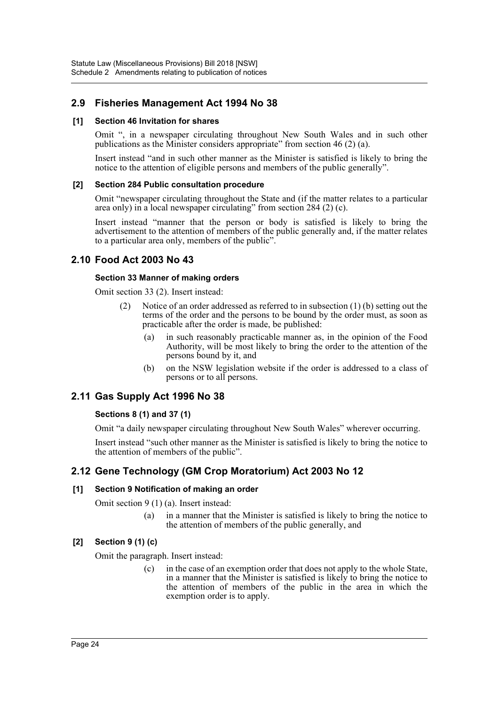### **2.9 Fisheries Management Act 1994 No 38**

#### **[1] Section 46 Invitation for shares**

Omit ", in a newspaper circulating throughout New South Wales and in such other publications as the Minister considers appropriate" from section 46 (2) (a).

Insert instead "and in such other manner as the Minister is satisfied is likely to bring the notice to the attention of eligible persons and members of the public generally".

#### **[2] Section 284 Public consultation procedure**

Omit "newspaper circulating throughout the State and (if the matter relates to a particular area only) in a local newspaper circulating" from section 284 (2) (c).

Insert instead "manner that the person or body is satisfied is likely to bring the advertisement to the attention of members of the public generally and, if the matter relates to a particular area only, members of the public".

### **2.10 Food Act 2003 No 43**

#### **Section 33 Manner of making orders**

Omit section 33 (2). Insert instead:

- (2) Notice of an order addressed as referred to in subsection (1) (b) setting out the terms of the order and the persons to be bound by the order must, as soon as practicable after the order is made, be published:
	- (a) in such reasonably practicable manner as, in the opinion of the Food Authority, will be most likely to bring the order to the attention of the persons bound by it, and
	- (b) on the NSW legislation website if the order is addressed to a class of persons or to all persons.

### **2.11 Gas Supply Act 1996 No 38**

### **Sections 8 (1) and 37 (1)**

Omit "a daily newspaper circulating throughout New South Wales" wherever occurring.

Insert instead "such other manner as the Minister is satisfied is likely to bring the notice to the attention of members of the public".

### **2.12 Gene Technology (GM Crop Moratorium) Act 2003 No 12**

### **[1] Section 9 Notification of making an order**

Omit section 9 (1) (a). Insert instead:

(a) in a manner that the Minister is satisfied is likely to bring the notice to the attention of members of the public generally, and

### **[2] Section 9 (1) (c)**

Omit the paragraph. Insert instead:

(c) in the case of an exemption order that does not apply to the whole State, in a manner that the Minister is satisfied is likely to bring the notice to the attention of members of the public in the area in which the exemption order is to apply.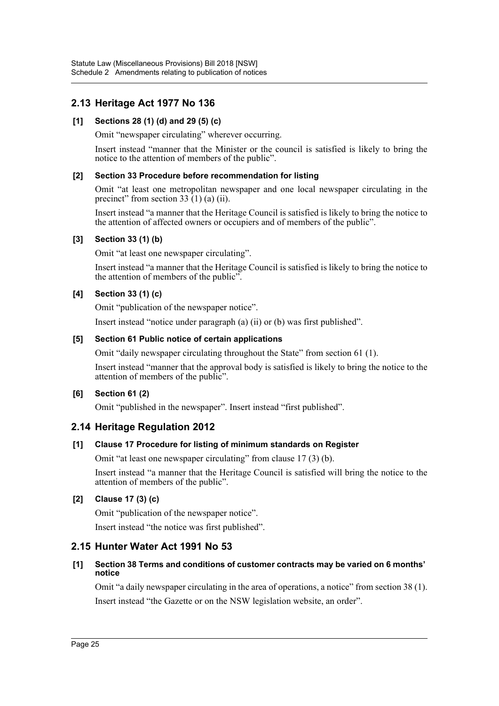### **2.13 Heritage Act 1977 No 136**

### **[1] Sections 28 (1) (d) and 29 (5) (c)**

Omit "newspaper circulating" wherever occurring.

Insert instead "manner that the Minister or the council is satisfied is likely to bring the notice to the attention of members of the public".

#### **[2] Section 33 Procedure before recommendation for listing**

Omit "at least one metropolitan newspaper and one local newspaper circulating in the precinct" from section 33  $(1)$  (a) (ii).

Insert instead "a manner that the Heritage Council is satisfied is likely to bring the notice to the attention of affected owners or occupiers and of members of the public".

### **[3] Section 33 (1) (b)**

Omit "at least one newspaper circulating".

Insert instead "a manner that the Heritage Council is satisfied is likely to bring the notice to the attention of members of the public".

### **[4] Section 33 (1) (c)**

Omit "publication of the newspaper notice".

Insert instead "notice under paragraph (a) (ii) or (b) was first published".

#### **[5] Section 61 Public notice of certain applications**

Omit "daily newspaper circulating throughout the State" from section 61 (1).

Insert instead "manner that the approval body is satisfied is likely to bring the notice to the attention of members of the public".

### **[6] Section 61 (2)**

Omit "published in the newspaper". Insert instead "first published".

### **2.14 Heritage Regulation 2012**

### **[1] Clause 17 Procedure for listing of minimum standards on Register**

Omit "at least one newspaper circulating" from clause 17 (3) (b).

Insert instead "a manner that the Heritage Council is satisfied will bring the notice to the attention of members of the public".

### **[2] Clause 17 (3) (c)**

Omit "publication of the newspaper notice".

Insert instead "the notice was first published".

### **2.15 Hunter Water Act 1991 No 53**

#### **[1] Section 38 Terms and conditions of customer contracts may be varied on 6 months' notice**

Omit "a daily newspaper circulating in the area of operations, a notice" from section 38 (1). Insert instead "the Gazette or on the NSW legislation website, an order".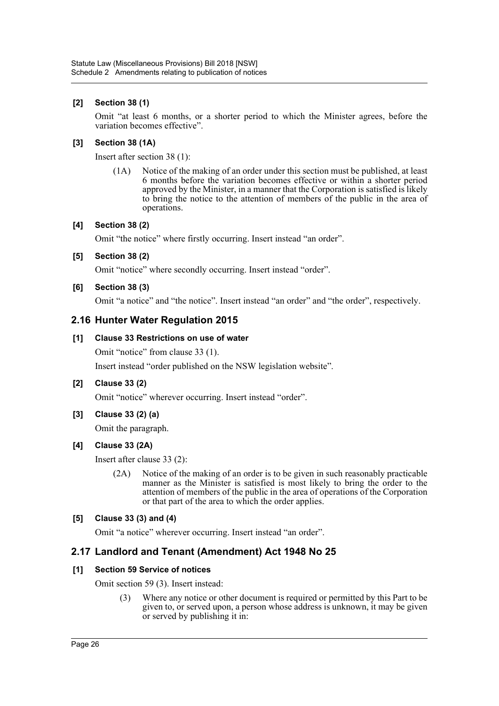### **[2] Section 38 (1)**

Omit "at least 6 months, or a shorter period to which the Minister agrees, before the variation becomes effective".

#### **[3] Section 38 (1A)**

Insert after section 38 (1):

(1A) Notice of the making of an order under this section must be published, at least 6 months before the variation becomes effective or within a shorter period approved by the Minister, in a manner that the Corporation is satisfied is likely to bring the notice to the attention of members of the public in the area of operations.

#### **[4] Section 38 (2)**

Omit "the notice" where firstly occurring. Insert instead "an order".

#### **[5] Section 38 (2)**

Omit "notice" where secondly occurring. Insert instead "order".

#### **[6] Section 38 (3)**

Omit "a notice" and "the notice". Insert instead "an order" and "the order", respectively.

### **2.16 Hunter Water Regulation 2015**

#### **[1] Clause 33 Restrictions on use of water**

Omit "notice" from clause 33 (1).

Insert instead "order published on the NSW legislation website".

#### **[2] Clause 33 (2)**

Omit "notice" wherever occurring. Insert instead "order".

**[3] Clause 33 (2) (a)**

Omit the paragraph.

### **[4] Clause 33 (2A)**

Insert after clause 33 (2):

(2A) Notice of the making of an order is to be given in such reasonably practicable manner as the Minister is satisfied is most likely to bring the order to the attention of members of the public in the area of operations of the Corporation or that part of the area to which the order applies.

#### **[5] Clause 33 (3) and (4)**

Omit "a notice" wherever occurring. Insert instead "an order".

### **2.17 Landlord and Tenant (Amendment) Act 1948 No 25**

### **[1] Section 59 Service of notices**

Omit section 59 (3). Insert instead:

(3) Where any notice or other document is required or permitted by this Part to be given to, or served upon, a person whose address is unknown, it may be given or served by publishing it in: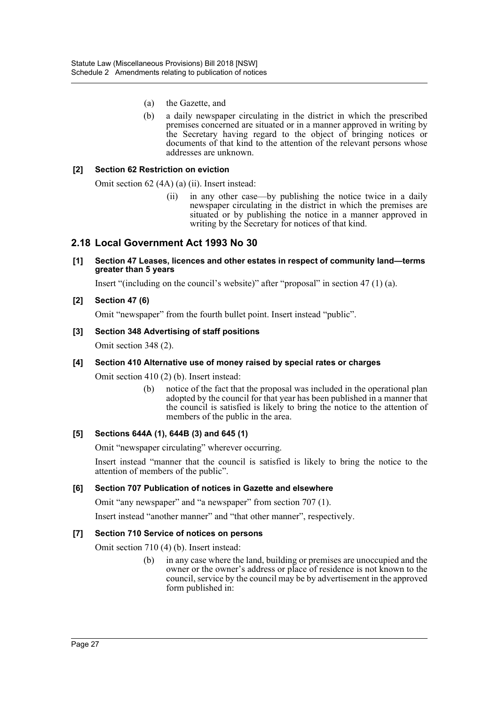- (a) the Gazette, and
- (b) a daily newspaper circulating in the district in which the prescribed premises concerned are situated or in a manner approved in writing by the Secretary having regard to the object of bringing notices or documents of that kind to the attention of the relevant persons whose addresses are unknown.

#### **[2] Section 62 Restriction on eviction**

Omit section 62 (4A) (a) (ii). Insert instead:

(ii) in any other case—by publishing the notice twice in a daily newspaper circulating in the district in which the premises are situated or by publishing the notice in a manner approved in writing by the Secretary for notices of that kind.

### **2.18 Local Government Act 1993 No 30**

#### **[1] Section 47 Leases, licences and other estates in respect of community land—terms greater than 5 years**

Insert "(including on the council's website)" after "proposal" in section 47 (1) (a).

#### **[2] Section 47 (6)**

Omit "newspaper" from the fourth bullet point. Insert instead "public".

#### **[3] Section 348 Advertising of staff positions**

Omit section 348 (2).

#### **[4] Section 410 Alternative use of money raised by special rates or charges**

Omit section 410 (2) (b). Insert instead:

(b) notice of the fact that the proposal was included in the operational plan adopted by the council for that year has been published in a manner that the council is satisfied is likely to bring the notice to the attention of members of the public in the area.

#### **[5] Sections 644A (1), 644B (3) and 645 (1)**

Omit "newspaper circulating" wherever occurring.

Insert instead "manner that the council is satisfied is likely to bring the notice to the attention of members of the public".

#### **[6] Section 707 Publication of notices in Gazette and elsewhere**

Omit "any newspaper" and "a newspaper" from section 707 (1).

Insert instead "another manner" and "that other manner", respectively.

#### **[7] Section 710 Service of notices on persons**

Omit section 710 (4) (b). Insert instead:

(b) in any case where the land, building or premises are unoccupied and the owner or the owner's address or place of residence is not known to the council, service by the council may be by advertisement in the approved form published in: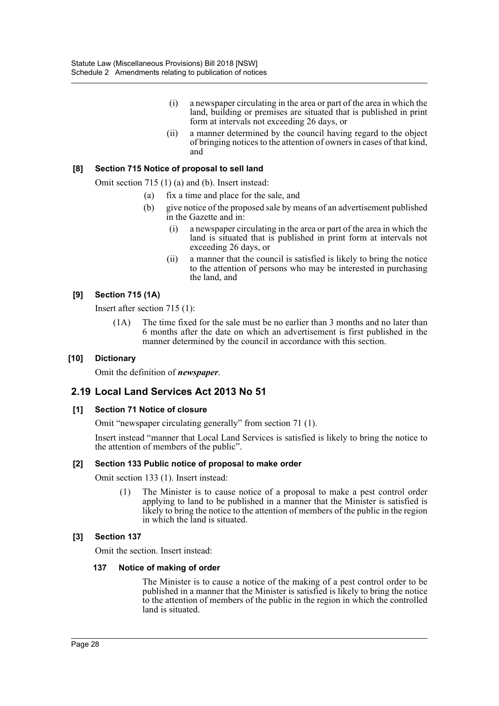- (i) a newspaper circulating in the area or part of the area in which the land, building or premises are situated that is published in print form at intervals not exceeding 26 days, or
- (ii) a manner determined by the council having regard to the object of bringing notices to the attention of owners in cases of that kind, and

#### **[8] Section 715 Notice of proposal to sell land**

Omit section 715 (1) (a) and (b). Insert instead:

- (a) fix a time and place for the sale, and
- (b) give notice of the proposed sale by means of an advertisement published in the Gazette and in:
	- (i) a newspaper circulating in the area or part of the area in which the land is situated that is published in print form at intervals not exceeding 26 days, or
	- (ii) a manner that the council is satisfied is likely to bring the notice to the attention of persons who may be interested in purchasing the land, and

#### **[9] Section 715 (1A)**

Insert after section 715 (1):

(1A) The time fixed for the sale must be no earlier than 3 months and no later than 6 months after the date on which an advertisement is first published in the manner determined by the council in accordance with this section.

#### **[10] Dictionary**

Omit the definition of *newspaper*.

### **2.19 Local Land Services Act 2013 No 51**

#### **[1] Section 71 Notice of closure**

Omit "newspaper circulating generally" from section 71 (1).

Insert instead "manner that Local Land Services is satisfied is likely to bring the notice to the attention of members of the public".

#### **[2] Section 133 Public notice of proposal to make order**

Omit section 133 (1). Insert instead:

(1) The Minister is to cause notice of a proposal to make a pest control order applying to land to be published in a manner that the Minister is satisfied is likely to bring the notice to the attention of members of the public in the region in which the land is situated.

#### **[3] Section 137**

Omit the section. Insert instead:

#### **137 Notice of making of order**

The Minister is to cause a notice of the making of a pest control order to be published in a manner that the Minister is satisfied is likely to bring the notice to the attention of members of the public in the region in which the controlled land is situated.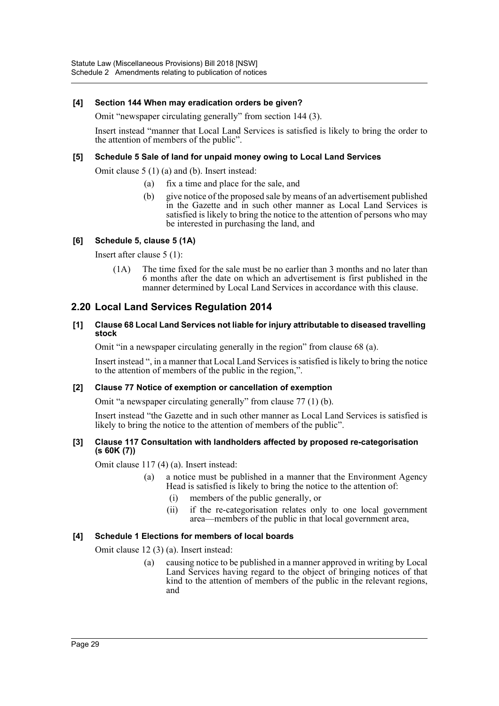#### **[4] Section 144 When may eradication orders be given?**

Omit "newspaper circulating generally" from section 144 (3).

Insert instead "manner that Local Land Services is satisfied is likely to bring the order to the attention of members of the public".

#### **[5] Schedule 5 Sale of land for unpaid money owing to Local Land Services**

Omit clause 5 (1) (a) and (b). Insert instead:

- (a) fix a time and place for the sale, and
- (b) give notice of the proposed sale by means of an advertisement published in the Gazette and in such other manner as Local Land Services is satisfied is likely to bring the notice to the attention of persons who may be interested in purchasing the land, and

#### **[6] Schedule 5, clause 5 (1A)**

Insert after clause 5 (1):

(1A) The time fixed for the sale must be no earlier than 3 months and no later than 6 months after the date on which an advertisement is first published in the manner determined by Local Land Services in accordance with this clause.

### **2.20 Local Land Services Regulation 2014**

#### **[1] Clause 68 Local Land Services not liable for injury attributable to diseased travelling stock**

Omit "in a newspaper circulating generally in the region" from clause 68 (a).

Insert instead ", in a manner that Local Land Services is satisfied is likely to bring the notice to the attention of members of the public in the region,".

#### **[2] Clause 77 Notice of exemption or cancellation of exemption**

Omit "a newspaper circulating generally" from clause 77 (1) (b).

Insert instead "the Gazette and in such other manner as Local Land Services is satisfied is likely to bring the notice to the attention of members of the public".

#### **[3] Clause 117 Consultation with landholders affected by proposed re-categorisation (s 60K (7))**

Omit clause 117 (4) (a). Insert instead:

- (a) a notice must be published in a manner that the Environment Agency Head is satisfied is likely to bring the notice to the attention of:
	- (i) members of the public generally, or
	- (ii) if the re-categorisation relates only to one local government area—members of the public in that local government area,

#### **[4] Schedule 1 Elections for members of local boards**

Omit clause 12 (3) (a). Insert instead:

(a) causing notice to be published in a manner approved in writing by Local Land Services having regard to the object of bringing notices of that kind to the attention of members of the public in the relevant regions, and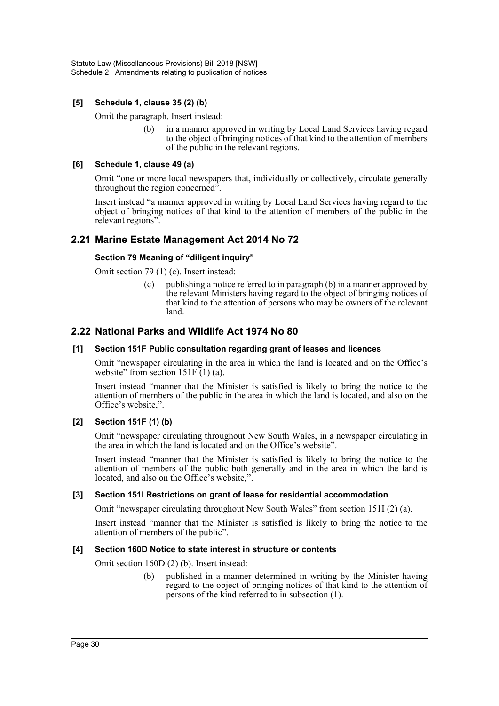### **[5] Schedule 1, clause 35 (2) (b)**

Omit the paragraph. Insert instead:

(b) in a manner approved in writing by Local Land Services having regard to the object of bringing notices of that kind to the attention of members of the public in the relevant regions.

#### **[6] Schedule 1, clause 49 (a)**

Omit "one or more local newspapers that, individually or collectively, circulate generally throughout the region concerned"

Insert instead "a manner approved in writing by Local Land Services having regard to the object of bringing notices of that kind to the attention of members of the public in the relevant regions".

### **2.21 Marine Estate Management Act 2014 No 72**

#### **Section 79 Meaning of "diligent inquiry"**

Omit section 79 (1) (c). Insert instead:

(c) publishing a notice referred to in paragraph (b) in a manner approved by the relevant Ministers having regard to the object of bringing notices of that kind to the attention of persons who may be owners of the relevant land.

### **2.22 National Parks and Wildlife Act 1974 No 80**

#### **[1] Section 151F Public consultation regarding grant of leases and licences**

Omit "newspaper circulating in the area in which the land is located and on the Office's website" from section  $151F(1)$  (a).

Insert instead "manner that the Minister is satisfied is likely to bring the notice to the attention of members of the public in the area in which the land is located, and also on the Office's website,".

#### **[2] Section 151F (1) (b)**

Omit "newspaper circulating throughout New South Wales, in a newspaper circulating in the area in which the land is located and on the Office's website".

Insert instead "manner that the Minister is satisfied is likely to bring the notice to the attention of members of the public both generally and in the area in which the land is located, and also on the Office's website,".

#### **[3] Section 151I Restrictions on grant of lease for residential accommodation**

Omit "newspaper circulating throughout New South Wales" from section 151I (2) (a).

Insert instead "manner that the Minister is satisfied is likely to bring the notice to the attention of members of the public".

#### **[4] Section 160D Notice to state interest in structure or contents**

Omit section 160D (2) (b). Insert instead:

(b) published in a manner determined in writing by the Minister having regard to the object of bringing notices of that kind to the attention of persons of the kind referred to in subsection (1).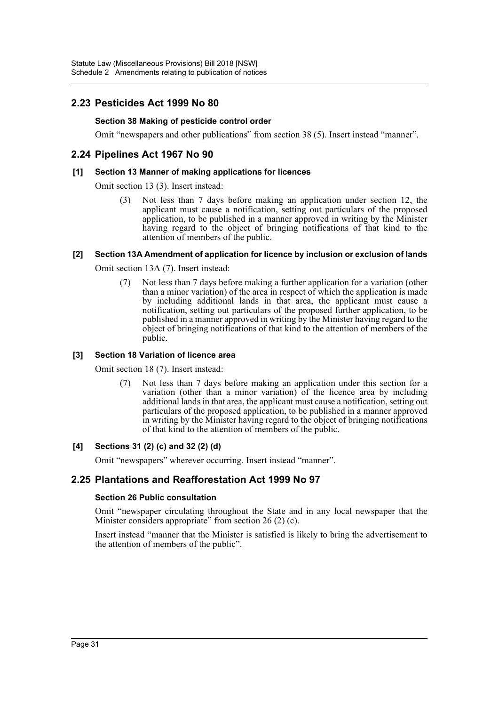### **2.23 Pesticides Act 1999 No 80**

### **Section 38 Making of pesticide control order**

Omit "newspapers and other publications" from section 38 (5). Insert instead "manner".

### **2.24 Pipelines Act 1967 No 90**

#### **[1] Section 13 Manner of making applications for licences**

Omit section 13 (3). Insert instead:

(3) Not less than 7 days before making an application under section 12, the applicant must cause a notification, setting out particulars of the proposed application, to be published in a manner approved in writing by the Minister having regard to the object of bringing notifications of that kind to the attention of members of the public.

#### **[2] Section 13A Amendment of application for licence by inclusion or exclusion of lands**

Omit section 13A (7). Insert instead:

(7) Not less than 7 days before making a further application for a variation (other than a minor variation) of the area in respect of which the application is made by including additional lands in that area, the applicant must cause a notification, setting out particulars of the proposed further application, to be published in a manner approved in writing by the Minister having regard to the object of bringing notifications of that kind to the attention of members of the public.

#### **[3] Section 18 Variation of licence area**

Omit section 18 (7). Insert instead:

(7) Not less than 7 days before making an application under this section for a variation (other than a minor variation) of the licence area by including additional lands in that area, the applicant must cause a notification, setting out particulars of the proposed application, to be published in a manner approved in writing by the Minister having regard to the object of bringing notifications of that kind to the attention of members of the public.

### **[4] Sections 31 (2) (c) and 32 (2) (d)**

Omit "newspapers" wherever occurring. Insert instead "manner".

### **2.25 Plantations and Reafforestation Act 1999 No 97**

#### **Section 26 Public consultation**

Omit "newspaper circulating throughout the State and in any local newspaper that the Minister considers appropriate" from section 26 (2) (c).

Insert instead "manner that the Minister is satisfied is likely to bring the advertisement to the attention of members of the public".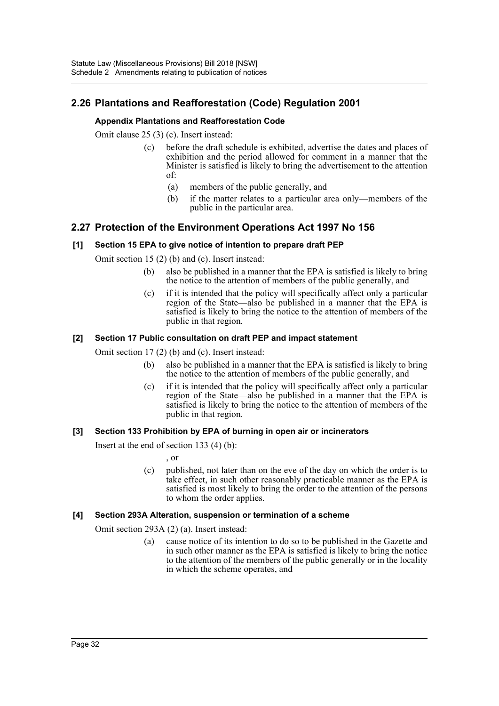### **2.26 Plantations and Reafforestation (Code) Regulation 2001**

### **Appendix Plantations and Reafforestation Code**

Omit clause 25 (3) (c). Insert instead:

- (c) before the draft schedule is exhibited, advertise the dates and places of exhibition and the period allowed for comment in a manner that the Minister is satisfied is likely to bring the advertisement to the attention of:
	- (a) members of the public generally, and
	- (b) if the matter relates to a particular area only—members of the public in the particular area.

### **2.27 Protection of the Environment Operations Act 1997 No 156**

#### **[1] Section 15 EPA to give notice of intention to prepare draft PEP**

Omit section 15 (2) (b) and (c). Insert instead:

- (b) also be published in a manner that the EPA is satisfied is likely to bring the notice to the attention of members of the public generally, and
- (c) if it is intended that the policy will specifically affect only a particular region of the State—also be published in a manner that the EPA is satisfied is likely to bring the notice to the attention of members of the public in that region.

#### **[2] Section 17 Public consultation on draft PEP and impact statement**

Omit section 17 (2) (b) and (c). Insert instead:

- (b) also be published in a manner that the EPA is satisfied is likely to bring the notice to the attention of members of the public generally, and
- (c) if it is intended that the policy will specifically affect only a particular region of the State—also be published in a manner that the EPA is satisfied is likely to bring the notice to the attention of members of the public in that region.

#### **[3] Section 133 Prohibition by EPA of burning in open air or incinerators**

Insert at the end of section 133 (4) (b):

- , or
- (c) published, not later than on the eve of the day on which the order is to take effect, in such other reasonably practicable manner as the EPA is satisfied is most likely to bring the order to the attention of the persons to whom the order applies.

#### **[4] Section 293A Alteration, suspension or termination of a scheme**

Omit section 293A (2) (a). Insert instead:

(a) cause notice of its intention to do so to be published in the Gazette and in such other manner as the EPA is satisfied is likely to bring the notice to the attention of the members of the public generally or in the locality in which the scheme operates, and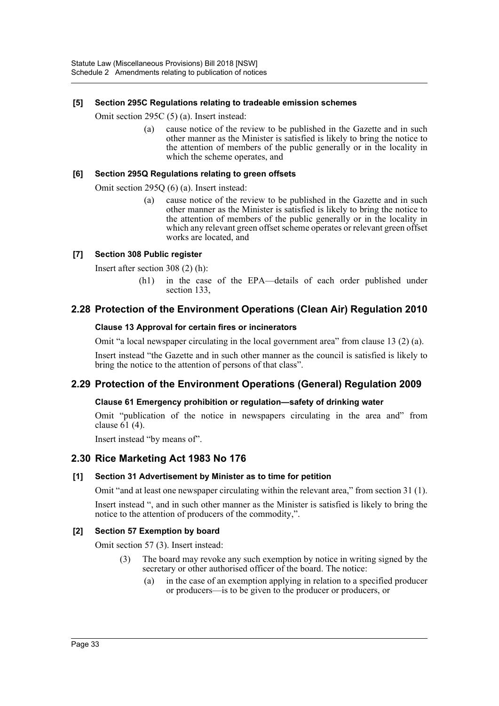#### **[5] Section 295C Regulations relating to tradeable emission schemes**

Omit section 295C (5) (a). Insert instead:

(a) cause notice of the review to be published in the Gazette and in such other manner as the Minister is satisfied is likely to bring the notice to the attention of members of the public generally or in the locality in which the scheme operates, and

#### **[6] Section 295Q Regulations relating to green offsets**

Omit section 295Q (6) (a). Insert instead:

(a) cause notice of the review to be published in the Gazette and in such other manner as the Minister is satisfied is likely to bring the notice to the attention of members of the public generally or in the locality in which any relevant green offset scheme operates or relevant green offset works are located, and

#### **[7] Section 308 Public register**

Insert after section 308 (2) (h):

(h1) in the case of the EPA—details of each order published under section 133,

### **2.28 Protection of the Environment Operations (Clean Air) Regulation 2010**

#### **Clause 13 Approval for certain fires or incinerators**

Omit "a local newspaper circulating in the local government area" from clause 13 (2) (a).

Insert instead "the Gazette and in such other manner as the council is satisfied is likely to bring the notice to the attention of persons of that class".

### **2.29 Protection of the Environment Operations (General) Regulation 2009**

#### **Clause 61 Emergency prohibition or regulation—safety of drinking water**

Omit "publication of the notice in newspapers circulating in the area and" from clause  $61$  (4).

Insert instead "by means of".

### **2.30 Rice Marketing Act 1983 No 176**

#### **[1] Section 31 Advertisement by Minister as to time for petition**

Omit "and at least one newspaper circulating within the relevant area," from section 31 (1).

Insert instead ", and in such other manner as the Minister is satisfied is likely to bring the notice to the attention of producers of the commodity,".

#### **[2] Section 57 Exemption by board**

Omit section 57 (3). Insert instead:

- (3) The board may revoke any such exemption by notice in writing signed by the secretary or other authorised officer of the board. The notice:
	- (a) in the case of an exemption applying in relation to a specified producer or producers—is to be given to the producer or producers, or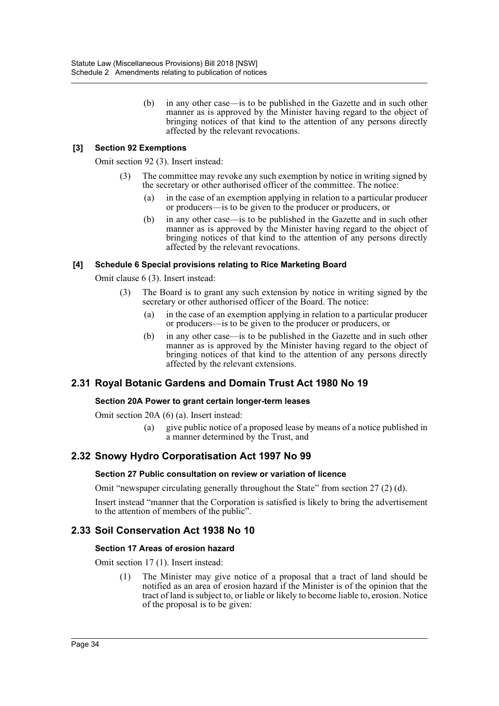(b) in any other case—is to be published in the Gazette and in such other manner as is approved by the Minister having regard to the object of bringing notices of that kind to the attention of any persons directly affected by the relevant revocations.

### **[3] Section 92 Exemptions**

Omit section 92 (3). Insert instead:

- The committee may revoke any such exemption by notice in writing signed by the secretary or other authorised officer of the committee. The notice:
	- (a) in the case of an exemption applying in relation to a particular producer or producers—is to be given to the producer or producers, or
	- (b) in any other case—is to be published in the Gazette and in such other manner as is approved by the Minister having regard to the object of bringing notices of that kind to the attention of any persons directly affected by the relevant revocations.

#### **[4] Schedule 6 Special provisions relating to Rice Marketing Board**

Omit clause 6 (3). Insert instead:

- (3) The Board is to grant any such extension by notice in writing signed by the secretary or other authorised officer of the Board. The notice:
	- (a) in the case of an exemption applying in relation to a particular producer or producers—is to be given to the producer or producers, or
	- (b) in any other case—is to be published in the Gazette and in such other manner as is approved by the Minister having regard to the object of bringing notices of that kind to the attention of any persons directly affected by the relevant extensions.

### **2.31 Royal Botanic Gardens and Domain Trust Act 1980 No 19**

#### **Section 20A Power to grant certain longer-term leases**

Omit section 20A (6) (a). Insert instead:

(a) give public notice of a proposed lease by means of a notice published in a manner determined by the Trust, and

### **2.32 Snowy Hydro Corporatisation Act 1997 No 99**

#### **Section 27 Public consultation on review or variation of licence**

Omit "newspaper circulating generally throughout the State" from section 27 (2) (d).

Insert instead "manner that the Corporation is satisfied is likely to bring the advertisement to the attention of members of the public".

### **2.33 Soil Conservation Act 1938 No 10**

#### **Section 17 Areas of erosion hazard**

Omit section 17 (1). Insert instead:

(1) The Minister may give notice of a proposal that a tract of land should be notified as an area of erosion hazard if the Minister is of the opinion that the tract of land is subject to, or liable or likely to become liable to, erosion. Notice of the proposal is to be given: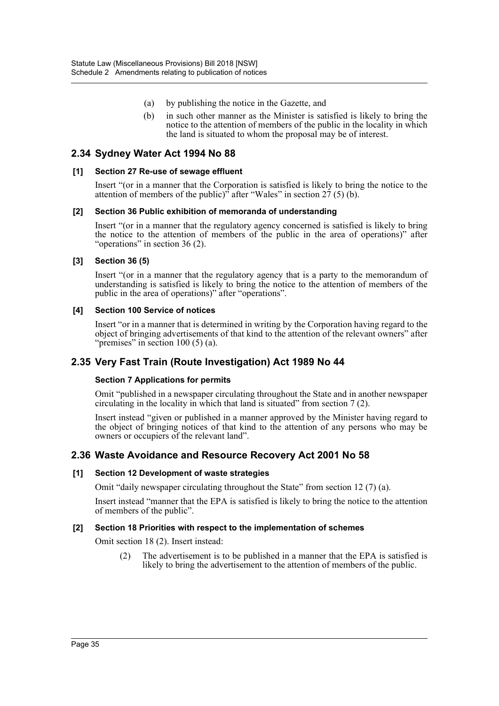- (a) by publishing the notice in the Gazette, and
- (b) in such other manner as the Minister is satisfied is likely to bring the notice to the attention of members of the public in the locality in which the land is situated to whom the proposal may be of interest.

### **2.34 Sydney Water Act 1994 No 88**

#### **[1] Section 27 Re-use of sewage effluent**

Insert "(or in a manner that the Corporation is satisfied is likely to bring the notice to the attention of members of the public)<sup> $\dot{ }$ </sup> after "Wales" in section 27 (5) (b).

#### **[2] Section 36 Public exhibition of memoranda of understanding**

Insert "(or in a manner that the regulatory agency concerned is satisfied is likely to bring the notice to the attention of members of the public in the area of operations)" after "operations" in section 36 (2).

#### **[3] Section 36 (5)**

Insert "(or in a manner that the regulatory agency that is a party to the memorandum of understanding is satisfied is likely to bring the notice to the attention of members of the public in the area of operations)" after "operations".

#### **[4] Section 100 Service of notices**

Insert "or in a manner that is determined in writing by the Corporation having regard to the object of bringing advertisements of that kind to the attention of the relevant owners" after "premises" in section 100 (5) (a).

### **2.35 Very Fast Train (Route Investigation) Act 1989 No 44**

#### **Section 7 Applications for permits**

Omit "published in a newspaper circulating throughout the State and in another newspaper circulating in the locality in which that land is situated" from section 7 (2).

Insert instead "given or published in a manner approved by the Minister having regard to the object of bringing notices of that kind to the attention of any persons who may be owners or occupiers of the relevant land".

### **2.36 Waste Avoidance and Resource Recovery Act 2001 No 58**

#### **[1] Section 12 Development of waste strategies**

Omit "daily newspaper circulating throughout the State" from section 12 (7) (a).

Insert instead "manner that the EPA is satisfied is likely to bring the notice to the attention of members of the public".

#### **[2] Section 18 Priorities with respect to the implementation of schemes**

Omit section 18 (2). Insert instead:

(2) The advertisement is to be published in a manner that the EPA is satisfied is likely to bring the advertisement to the attention of members of the public.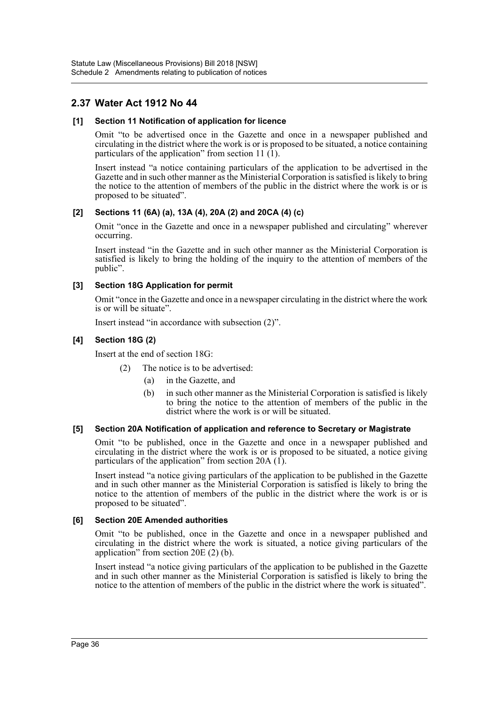### **2.37 Water Act 1912 No 44**

#### **[1] Section 11 Notification of application for licence**

Omit "to be advertised once in the Gazette and once in a newspaper published and circulating in the district where the work is or is proposed to be situated, a notice containing particulars of the application" from section 11 $(1)$ .

Insert instead "a notice containing particulars of the application to be advertised in the Gazette and in such other manner as the Ministerial Corporation is satisfied is likely to bring the notice to the attention of members of the public in the district where the work is or is proposed to be situated".

#### **[2] Sections 11 (6A) (a), 13A (4), 20A (2) and 20CA (4) (c)**

Omit "once in the Gazette and once in a newspaper published and circulating" wherever occurring.

Insert instead "in the Gazette and in such other manner as the Ministerial Corporation is satisfied is likely to bring the holding of the inquiry to the attention of members of the public".

#### **[3] Section 18G Application for permit**

Omit "once in the Gazette and once in a newspaper circulating in the district where the work is or will be situate".

Insert instead "in accordance with subsection (2)".

#### **[4] Section 18G (2)**

Insert at the end of section 18G:

- (2) The notice is to be advertised:
	- (a) in the Gazette, and
	- (b) in such other manner as the Ministerial Corporation is satisfied is likely to bring the notice to the attention of members of the public in the district where the work is or will be situated.

#### **[5] Section 20A Notification of application and reference to Secretary or Magistrate**

Omit "to be published, once in the Gazette and once in a newspaper published and circulating in the district where the work is or is proposed to be situated, a notice giving particulars of the application" from section 20A  $(1)$ .

Insert instead "a notice giving particulars of the application to be published in the Gazette and in such other manner as the Ministerial Corporation is satisfied is likely to bring the notice to the attention of members of the public in the district where the work is or is proposed to be situated".

### **[6] Section 20E Amended authorities**

Omit "to be published, once in the Gazette and once in a newspaper published and circulating in the district where the work is situated, a notice giving particulars of the application" from section 20E (2) (b).

Insert instead "a notice giving particulars of the application to be published in the Gazette and in such other manner as the Ministerial Corporation is satisfied is likely to bring the notice to the attention of members of the public in the district where the work is situated".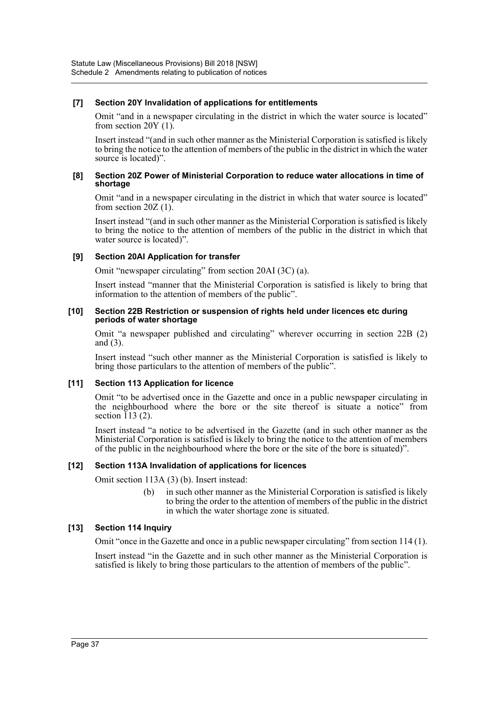#### **[7] Section 20Y Invalidation of applications for entitlements**

Omit "and in a newspaper circulating in the district in which the water source is located" from section 20Y (1).

Insert instead "(and in such other manner as the Ministerial Corporation is satisfied is likely to bring the notice to the attention of members of the public in the district in which the water source is located)".

#### **[8] Section 20Z Power of Ministerial Corporation to reduce water allocations in time of shortage**

Omit "and in a newspaper circulating in the district in which that water source is located" from section  $20Z(1)$ .

Insert instead "(and in such other manner as the Ministerial Corporation is satisfied is likely to bring the notice to the attention of members of the public in the district in which that water source is located)".

#### **[9] Section 20AI Application for transfer**

Omit "newspaper circulating" from section 20AI (3C) (a).

Insert instead "manner that the Ministerial Corporation is satisfied is likely to bring that information to the attention of members of the public".

#### **[10] Section 22B Restriction or suspension of rights held under licences etc during periods of water shortage**

Omit "a newspaper published and circulating" wherever occurring in section 22B (2) and (3).

Insert instead "such other manner as the Ministerial Corporation is satisfied is likely to bring those particulars to the attention of members of the public".

#### **[11] Section 113 Application for licence**

Omit "to be advertised once in the Gazette and once in a public newspaper circulating in the neighbourhood where the bore or the site thereof is situate a notice" from section  $113(2)$ .

Insert instead "a notice to be advertised in the Gazette (and in such other manner as the Ministerial Corporation is satisfied is likely to bring the notice to the attention of members of the public in the neighbourhood where the bore or the site of the bore is situated)".

#### **[12] Section 113A Invalidation of applications for licences**

Omit section 113A (3) (b). Insert instead:

(b) in such other manner as the Ministerial Corporation is satisfied is likely to bring the order to the attention of members of the public in the district in which the water shortage zone is situated.

#### **[13] Section 114 Inquiry**

Omit "once in the Gazette and once in a public newspaper circulating" from section 114 (1).

Insert instead "in the Gazette and in such other manner as the Ministerial Corporation is satisfied is likely to bring those particulars to the attention of members of the public".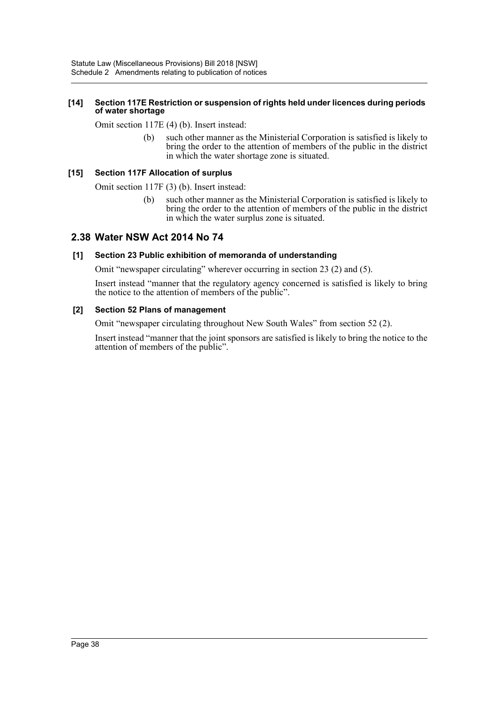#### **[14] Section 117E Restriction or suspension of rights held under licences during periods of water shortage**

Omit section 117E (4) (b). Insert instead:

(b) such other manner as the Ministerial Corporation is satisfied is likely to bring the order to the attention of members of the public in the district in which the water shortage zone is situated.

### **[15] Section 117F Allocation of surplus**

Omit section 117F (3) (b). Insert instead:

(b) such other manner as the Ministerial Corporation is satisfied is likely to bring the order to the attention of members of the public in the district in which the water surplus zone is situated.

### **2.38 Water NSW Act 2014 No 74**

### **[1] Section 23 Public exhibition of memoranda of understanding**

Omit "newspaper circulating" wherever occurring in section 23 (2) and (5).

Insert instead "manner that the regulatory agency concerned is satisfied is likely to bring the notice to the attention of members of the public".

#### **[2] Section 52 Plans of management**

Omit "newspaper circulating throughout New South Wales" from section 52 (2).

Insert instead "manner that the joint sponsors are satisfied is likely to bring the notice to the attention of members of the public".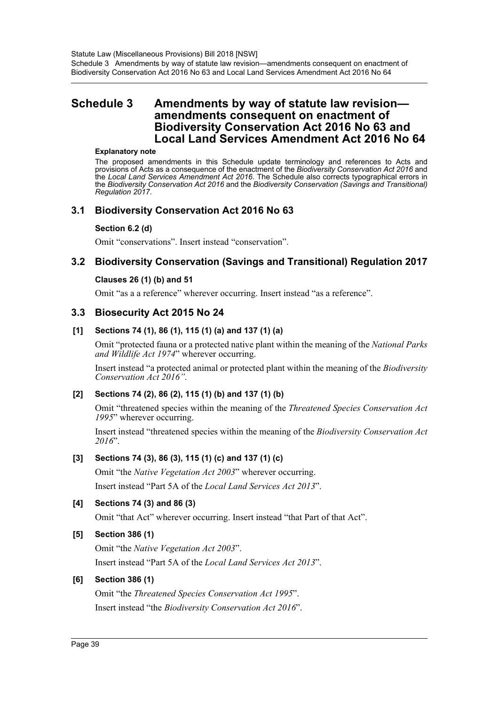### <span id="page-39-0"></span>**Schedule 3 Amendments by way of statute law revision amendments consequent on enactment of Biodiversity Conservation Act 2016 No 63 and Local Land Services Amendment Act 2016 No 64**

#### **Explanatory note**

The proposed amendments in this Schedule update terminology and references to Acts and provisions of Acts as a consequence of the enactment of the *Biodiversity Conservation Act 2016* and the *Local Land Services Amendment Act 2016*. The Schedule also corrects typographical errors in the *Biodiversity Conservation Act 2016* and the *Biodiversity Conservation (Savings and Transitional) Regulation 2017*.

### **3.1 Biodiversity Conservation Act 2016 No 63**

#### **Section 6.2 (d)**

Omit "conservations". Insert instead "conservation".

### **3.2 Biodiversity Conservation (Savings and Transitional) Regulation 2017**

#### **Clauses 26 (1) (b) and 51**

Omit "as a a reference" wherever occurring. Insert instead "as a reference".

### **3.3 Biosecurity Act 2015 No 24**

### **[1] Sections 74 (1), 86 (1), 115 (1) (a) and 137 (1) (a)**

Omit "protected fauna or a protected native plant within the meaning of the *National Parks and Wildlife Act 1974*" wherever occurring.

Insert instead "a protected animal or protected plant within the meaning of the *Biodiversity Conservation Act 2016".*

### **[2] Sections 74 (2), 86 (2), 115 (1) (b) and 137 (1) (b)**

Omit "threatened species within the meaning of the *Threatened Species Conservation Act 1995*" wherever occurring.

Insert instead "threatened species within the meaning of the *Biodiversity Conservation Act 2016*".

### **[3] Sections 74 (3), 86 (3), 115 (1) (c) and 137 (1) (c)**

Omit "the *Native Vegetation Act 2003*" wherever occurring. Insert instead "Part 5A of the *Local Land Services Act 2013*".

### **[4] Sections 74 (3) and 86 (3)**

Omit "that Act" wherever occurring. Insert instead "that Part of that Act".

### **[5] Section 386 (1)**

Omit "the *Native Vegetation Act 2003*". Insert instead "Part 5A of the *Local Land Services Act 2013*".

#### **[6] Section 386 (1)**

Omit "the *Threatened Species Conservation Act 1995*". Insert instead "the *Biodiversity Conservation Act 2016*".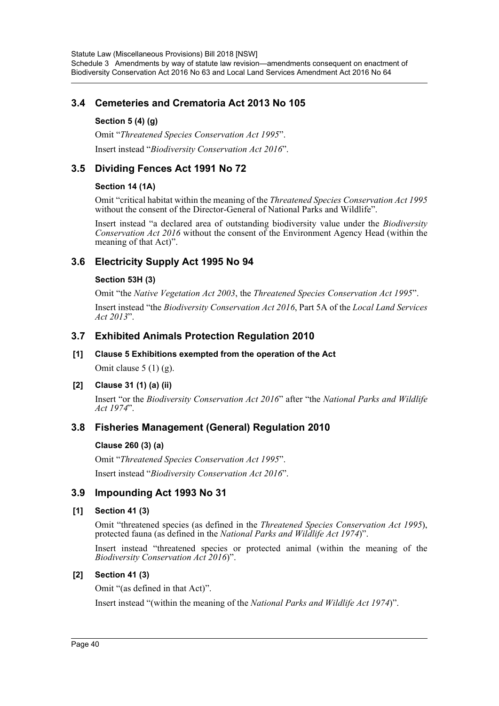### **3.4 Cemeteries and Crematoria Act 2013 No 105**

### **Section 5 (4) (g)**

Omit "*Threatened Species Conservation Act 1995*". Insert instead "*Biodiversity Conservation Act 2016*".

### **3.5 Dividing Fences Act 1991 No 72**

### **Section 14 (1A)**

Omit "critical habitat within the meaning of the *Threatened Species Conservation Act 1995* without the consent of the Director-General of National Parks and Wildlife".

Insert instead "a declared area of outstanding biodiversity value under the *Biodiversity Conservation Act 2016* without the consent of the Environment Agency Head (within the meaning of that Act)".

### **3.6 Electricity Supply Act 1995 No 94**

### **Section 53H (3)**

Omit "the *Native Vegetation Act 2003*, the *Threatened Species Conservation Act 1995*".

Insert instead "the *Biodiversity Conservation Act 2016*, Part 5A of the *Local Land Services Act 2013*".

### **3.7 Exhibited Animals Protection Regulation 2010**

### **[1] Clause 5 Exhibitions exempted from the operation of the Act**

Omit clause  $5(1)(g)$ .

### **[2] Clause 31 (1) (a) (ii)**

Insert "or the *Biodiversity Conservation Act 2016*" after "the *National Parks and Wildlife Act 1974*".

### **3.8 Fisheries Management (General) Regulation 2010**

### **Clause 260 (3) (a)**

Omit "*Threatened Species Conservation Act 1995*". Insert instead "*Biodiversity Conservation Act 2016*".

### **3.9 Impounding Act 1993 No 31**

### **[1] Section 41 (3)**

Omit "threatened species (as defined in the *Threatened Species Conservation Act 1995*), protected fauna (as defined in the *National Parks and Wildlife Act 1974*)".

Insert instead "threatened species or protected animal (within the meaning of the *Biodiversity Conservation Act 2016*)".

### **[2] Section 41 (3)**

Omit "(as defined in that Act)".

Insert instead "(within the meaning of the *National Parks and Wildlife Act 1974*)".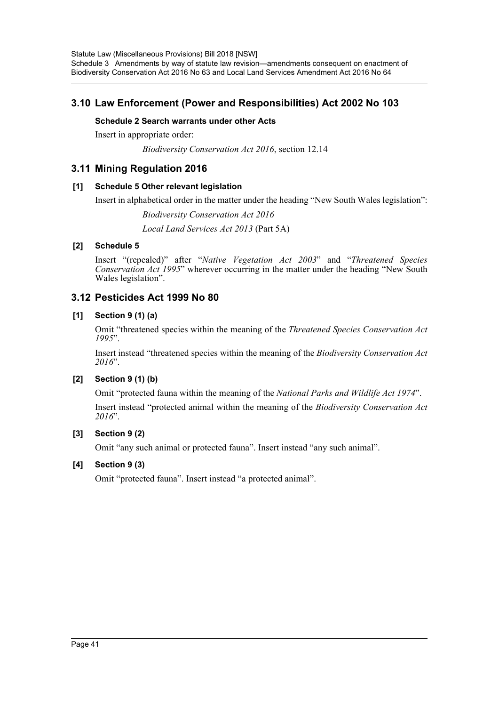Statute Law (Miscellaneous Provisions) Bill 2018 [NSW] Schedule 3 Amendments by way of statute law revision—amendments consequent on enactment of Biodiversity Conservation Act 2016 No 63 and Local Land Services Amendment Act 2016 No 64

### **3.10 Law Enforcement (Power and Responsibilities) Act 2002 No 103**

#### **Schedule 2 Search warrants under other Acts**

Insert in appropriate order:

*Biodiversity Conservation Act 2016*, section 12.14

### **3.11 Mining Regulation 2016**

#### **[1] Schedule 5 Other relevant legislation**

Insert in alphabetical order in the matter under the heading "New South Wales legislation":

*Biodiversity Conservation Act 2016*

*Local Land Services Act 2013* (Part 5A)

#### **[2] Schedule 5**

Insert "(repealed)" after "*Native Vegetation Act 2003*" and "*Threatened Species Conservation Act 1995*" wherever occurring in the matter under the heading "New South Wales legislation".

### **3.12 Pesticides Act 1999 No 80**

#### **[1] Section 9 (1) (a)**

Omit "threatened species within the meaning of the *Threatened Species Conservation Act 1995*".

Insert instead "threatened species within the meaning of the *Biodiversity Conservation Act 2016*".

### **[2] Section 9 (1) (b)**

Omit "protected fauna within the meaning of the *National Parks and Wildlife Act 1974*".

Insert instead "protected animal within the meaning of the *Biodiversity Conservation Act 2016*".

#### **[3] Section 9 (2)**

Omit "any such animal or protected fauna". Insert instead "any such animal".

#### **[4] Section 9 (3)**

Omit "protected fauna". Insert instead "a protected animal".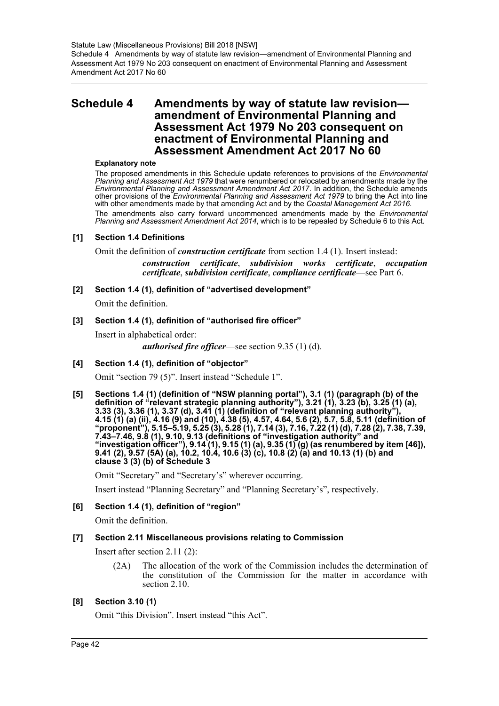### <span id="page-42-0"></span>**Schedule 4 Amendments by way of statute law revision amendment of Environmental Planning and Assessment Act 1979 No 203 consequent on enactment of Environmental Planning and Assessment Amendment Act 2017 No 60**

#### **Explanatory note**

The proposed amendments in this Schedule update references to provisions of the *Environmental Planning and Assessment Act 1979* that were renumbered or relocated by amendments made by the *Environmental Planning and Assessment Amendment Act 2017*. In addition, the Schedule amends other provisions of the *Environmental Planning and Assessment Act 1979* to bring the Act into line with other amendments made by that amending Act and by the *Coastal Management Act 2016*. The amendments also carry forward uncommenced amendments made by the *Environmental Planning and Assessment Amendment Act 2014*, which is to be repealed by Schedule 6 to this Act.

#### **[1] Section 1.4 Definitions**

Omit the definition of *construction certificate* from section 1.4 (1). Insert instead: *construction certificate*, *subdivision works certificate*, *occupation certificate*, *subdivision certificate*, *compliance certificate*—see Part 6.

**[2] Section 1.4 (1), definition of "advertised development"**

Omit the definition.

#### **[3] Section 1.4 (1), definition of "authorised fire officer"**

Insert in alphabetical order: *authorised fire officer*—see section 9.35 (1) (d).

#### **[4] Section 1.4 (1), definition of "objector"**

Omit "section 79 (5)". Insert instead "Schedule 1".

**[5] Sections 1.4 (1) (definition of "NSW planning portal"), 3.1 (1) (paragraph (b) of the definition of "relevant strategic planning authority"), 3.21 (1), 3.23 (b), 3.25 (1) (a), 3.33 (3), 3.36 (1), 3.37 (d), 3.41 (1) (definition of "relevant planning authority"), 4.15 (1) (a) (ii), 4.16 (9) and (10), 4.38 (5), 4.57, 4.64, 5.6 (2), 5.7, 5.8, 5.11 (definition of "proponent"), 5.15–5.19, 5.25 (3), 5.28 (1), 7.14 (3), 7.16, 7.22 (1) (d), 7.28 (2), 7.38, 7.39, 7.43–7.46, 9.8 (1), 9.10, 9.13 (definitions of "investigation authority" and "investigation officer"), 9.14 (1), 9.15 (1) (a), 9.35 (1) (g) (as renumbered by item [46]), 9.41 (2), 9.57 (5A) (a), 10.2, 10.4, 10.6 (3) (c), 10.8 (2) (a) and 10.13 (1) (b) and clause 3 (3) (b) of Schedule 3**

Omit "Secretary" and "Secretary's" wherever occurring.

Insert instead "Planning Secretary" and "Planning Secretary's", respectively.

#### **[6] Section 1.4 (1), definition of "region"**

Omit the definition.

#### **[7] Section 2.11 Miscellaneous provisions relating to Commission**

Insert after section 2.11 (2):

(2A) The allocation of the work of the Commission includes the determination of the constitution of the Commission for the matter in accordance with section 2.10.

#### **[8] Section 3.10 (1)**

Omit "this Division". Insert instead "this Act".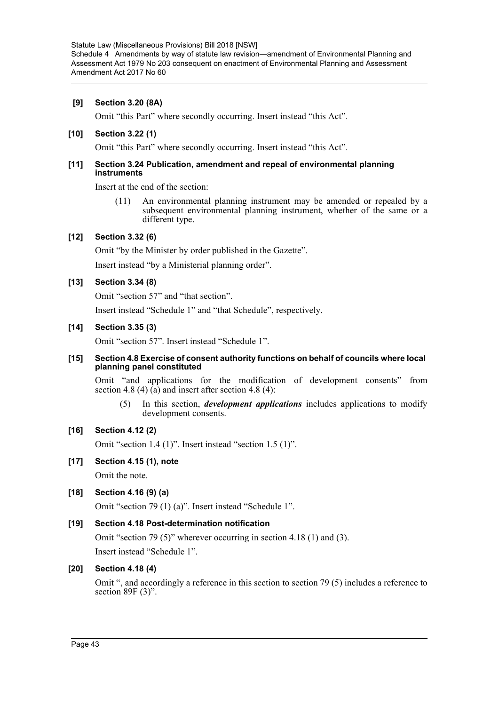#### **[9] Section 3.20 (8A)**

Omit "this Part" where secondly occurring. Insert instead "this Act".

#### **[10] Section 3.22 (1)**

Omit "this Part" where secondly occurring. Insert instead "this Act".

#### **[11] Section 3.24 Publication, amendment and repeal of environmental planning instruments**

Insert at the end of the section:

(11) An environmental planning instrument may be amended or repealed by a subsequent environmental planning instrument, whether of the same or a different type.

#### **[12] Section 3.32 (6)**

Omit "by the Minister by order published in the Gazette".

Insert instead "by a Ministerial planning order".

### **[13] Section 3.34 (8)**

Omit "section 57" and "that section".

Insert instead "Schedule 1" and "that Schedule", respectively.

#### **[14] Section 3.35 (3)**

Omit "section 57". Insert instead "Schedule 1".

#### **[15] Section 4.8 Exercise of consent authority functions on behalf of councils where local planning panel constituted**

Omit "and applications for the modification of development consents" from section 4.8 (4) (a) and insert after section 4.8 (4):

(5) In this section, *development applications* includes applications to modify development consents.

#### **[16] Section 4.12 (2)**

Omit "section 1.4 (1)". Insert instead "section 1.5 (1)".

### **[17] Section 4.15 (1), note**

Omit the note.

### **[18] Section 4.16 (9) (a)**

Omit "section 79 (1) (a)". Insert instead "Schedule 1".

### **[19] Section 4.18 Post-determination notification**

Omit "section 79 (5)" wherever occurring in section 4.18 (1) and (3). Insert instead "Schedule 1".

### **[20] Section 4.18 (4)**

Omit ", and accordingly a reference in this section to section 79 (5) includes a reference to section 89F (3)".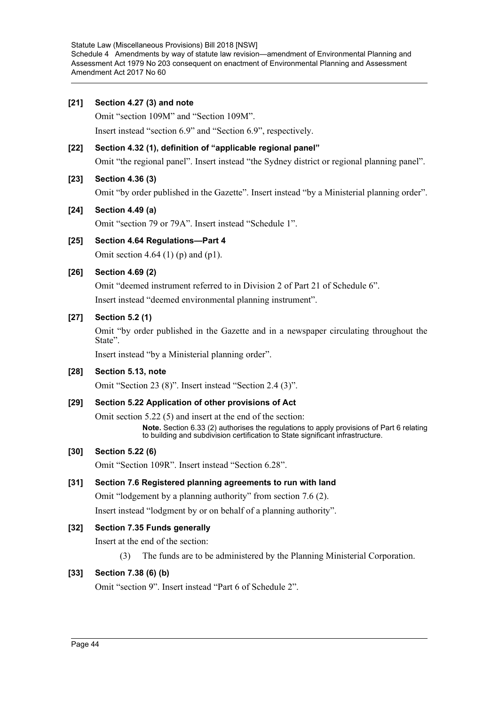#### **[21] Section 4.27 (3) and note**

Omit "section 109M" and "Section 109M".

Insert instead "section 6.9" and "Section 6.9", respectively.

### **[22] Section 4.32 (1), definition of "applicable regional panel"** Omit "the regional panel". Insert instead "the Sydney district or regional planning panel".

### **[23] Section 4.36 (3)**

Omit "by order published in the Gazette". Insert instead "by a Ministerial planning order".

#### **[24] Section 4.49 (a)**

Omit "section 79 or 79A". Insert instead "Schedule 1".

### **[25] Section 4.64 Regulations—Part 4**

Omit section 4.64 (1) (p) and (p1).

#### **[26] Section 4.69 (2)**

Omit "deemed instrument referred to in Division 2 of Part 21 of Schedule 6".

Insert instead "deemed environmental planning instrument".

#### **[27] Section 5.2 (1)**

Omit "by order published in the Gazette and in a newspaper circulating throughout the State".

Insert instead "by a Ministerial planning order".

#### **[28] Section 5.13, note**

Omit "Section 23 (8)". Insert instead "Section 2.4 (3)".

#### **[29] Section 5.22 Application of other provisions of Act**

Omit section 5.22 (5) and insert at the end of the section:

**Note.** Section 6.33 (2) authorises the regulations to apply provisions of Part 6 relating to building and subdivision certification to State significant infrastructure.

#### **[30] Section 5.22 (6)**

Omit "Section 109R". Insert instead "Section 6.28".

#### **[31] Section 7.6 Registered planning agreements to run with land**

Omit "lodgement by a planning authority" from section 7.6 (2).

Insert instead "lodgment by or on behalf of a planning authority".

### **[32] Section 7.35 Funds generally**

Insert at the end of the section:

(3) The funds are to be administered by the Planning Ministerial Corporation.

### **[33] Section 7.38 (6) (b)**

Omit "section 9". Insert instead "Part 6 of Schedule 2".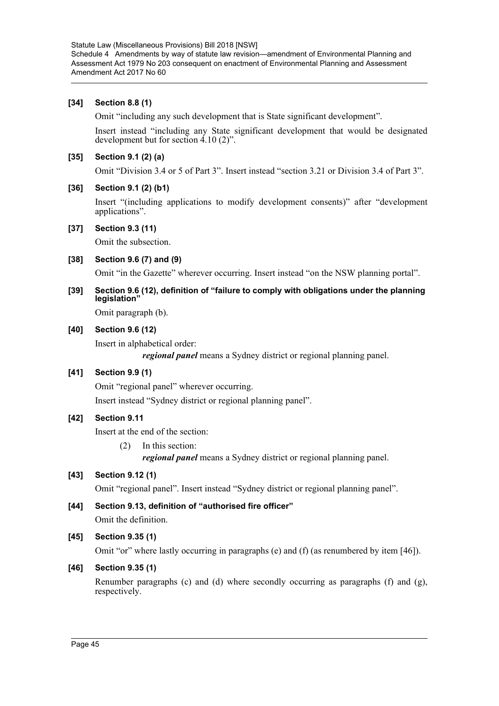#### **[34] Section 8.8 (1)**

Omit "including any such development that is State significant development".

Insert instead "including any State significant development that would be designated development but for section 4.10 (2)".

#### **[35] Section 9.1 (2) (a)**

Omit "Division 3.4 or 5 of Part 3". Insert instead "section 3.21 or Division 3.4 of Part 3".

#### **[36] Section 9.1 (2) (b1)**

Insert "(including applications to modify development consents)" after "development applications".

#### **[37] Section 9.3 (11)**

Omit the subsection.

#### **[38] Section 9.6 (7) and (9)**

Omit "in the Gazette" wherever occurring. Insert instead "on the NSW planning portal".

#### **[39] Section 9.6 (12), definition of "failure to comply with obligations under the planning legislation"**

Omit paragraph (b).

#### **[40] Section 9.6 (12)**

Insert in alphabetical order:

*regional panel* means a Sydney district or regional planning panel.

### **[41] Section 9.9 (1)**

Omit "regional panel" wherever occurring.

Insert instead "Sydney district or regional planning panel".

### **[42] Section 9.11**

Insert at the end of the section:

(2) In this section: *regional panel* means a Sydney district or regional planning panel.

### **[43] Section 9.12 (1)**

Omit "regional panel". Insert instead "Sydney district or regional planning panel".

### **[44] Section 9.13, definition of "authorised fire officer"** Omit the definition.

### **[45] Section 9.35 (1)**

Omit "or" where lastly occurring in paragraphs (e) and (f) (as renumbered by item [46]).

#### **[46] Section 9.35 (1)**

Renumber paragraphs (c) and (d) where secondly occurring as paragraphs (f) and  $(g)$ , respectively.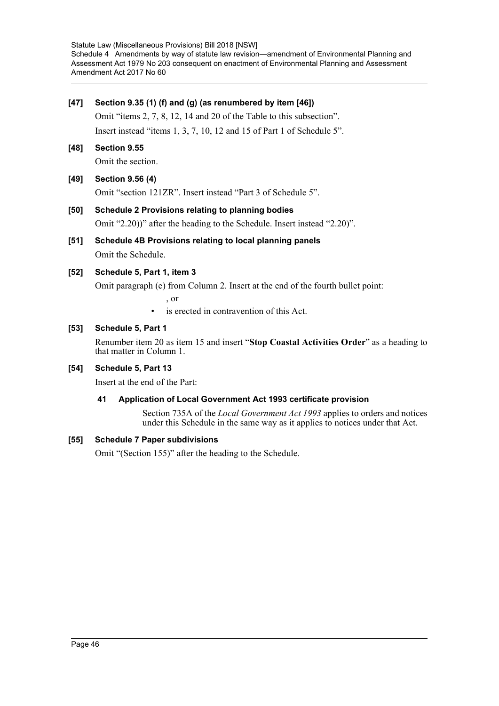#### **[47] Section 9.35 (1) (f) and (g) (as renumbered by item [46])**

Omit "items 2, 7, 8, 12, 14 and 20 of the Table to this subsection". Insert instead "items 1, 3, 7, 10, 12 and 15 of Part 1 of Schedule 5".

**[48] Section 9.55**

Omit the section.

### **[49] Section 9.56 (4)**

Omit "section 121ZR". Insert instead "Part 3 of Schedule 5".

### **[50] Schedule 2 Provisions relating to planning bodies**

Omit "2.20))" after the heading to the Schedule. Insert instead "2.20)".

**[51] Schedule 4B Provisions relating to local planning panels** Omit the Schedule.

### **[52] Schedule 5, Part 1, item 3**

Omit paragraph (e) from Column 2. Insert at the end of the fourth bullet point:

, or

is erected in contravention of this Act.

#### **[53] Schedule 5, Part 1**

Renumber item 20 as item 15 and insert "**Stop Coastal Activities Order**" as a heading to that matter in Column 1.

### **[54] Schedule 5, Part 13**

Insert at the end of the Part:

#### **41 Application of Local Government Act 1993 certificate provision**

Section 735A of the *Local Government Act 1993* applies to orders and notices under this Schedule in the same way as it applies to notices under that Act.

#### **[55] Schedule 7 Paper subdivisions**

Omit "(Section 155)" after the heading to the Schedule.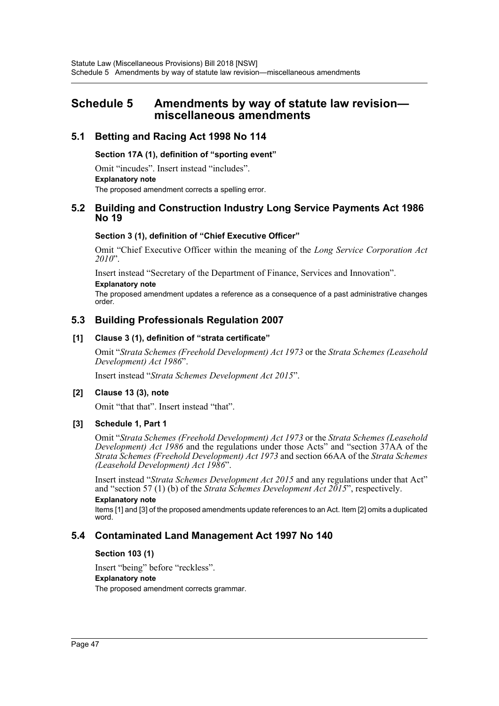### <span id="page-47-0"></span>**Schedule 5 Amendments by way of statute law revision miscellaneous amendments**

### **5.1 Betting and Racing Act 1998 No 114**

#### **Section 17A (1), definition of "sporting event"**

Omit "incudes". Insert instead "includes". **Explanatory note** The proposed amendment corrects a spelling error.

### **5.2 Building and Construction Industry Long Service Payments Act 1986 No 19**

#### **Section 3 (1), definition of "Chief Executive Officer"**

Omit "Chief Executive Officer within the meaning of the *Long Service Corporation Act 2010*".

Insert instead "Secretary of the Department of Finance, Services and Innovation".

#### **Explanatory note**

The proposed amendment updates a reference as a consequence of a past administrative changes order.

### **5.3 Building Professionals Regulation 2007**

#### **[1] Clause 3 (1), definition of "strata certificate"**

Omit "*Strata Schemes (Freehold Development) Act 1973* or the *Strata Schemes (Leasehold Development) Act 1986*".

Insert instead "*Strata Schemes Development Act 2015*".

#### **[2] Clause 13 (3), note**

Omit "that that". Insert instead "that".

#### **[3] Schedule 1, Part 1**

Omit "*Strata Schemes (Freehold Development) Act 1973* or the *Strata Schemes (Leasehold Development) Act 1986* and the regulations under those Acts" and "section 37AA of the *Strata Schemes (Freehold Development) Act 1973* and section 66AA of the *Strata Schemes (Leasehold Development) Act 1986*".

Insert instead "*Strata Schemes Development Act 2015* and any regulations under that Act" and "section 57 (1) (b) of the *Strata Schemes Development Act 2015*", respectively.

### **Explanatory note**

Items [1] and [3] of the proposed amendments update references to an Act. Item [2] omits a duplicated word.

### **5.4 Contaminated Land Management Act 1997 No 140**

#### **Section 103 (1)**

Insert "being" before "reckless". **Explanatory note** The proposed amendment corrects grammar.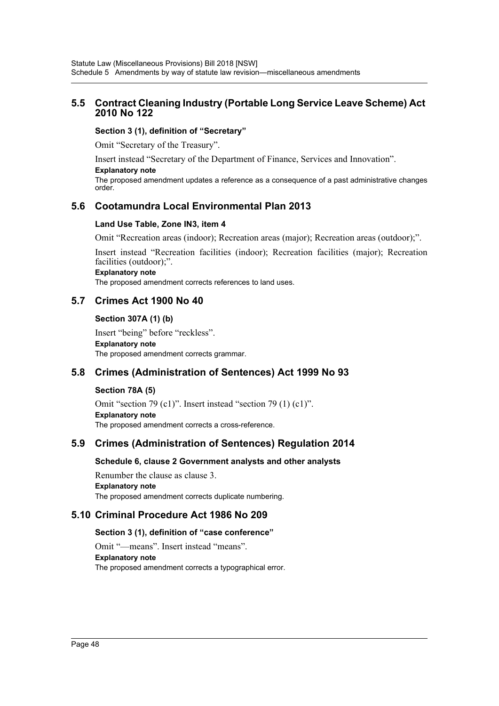### **5.5 Contract Cleaning Industry (Portable Long Service Leave Scheme) Act 2010 No 122**

#### **Section 3 (1), definition of "Secretary"**

Omit "Secretary of the Treasury".

Insert instead "Secretary of the Department of Finance, Services and Innovation".

**Explanatory note**

The proposed amendment updates a reference as a consequence of a past administrative changes order.

### **5.6 Cootamundra Local Environmental Plan 2013**

#### **Land Use Table, Zone IN3, item 4**

Omit "Recreation areas (indoor); Recreation areas (major); Recreation areas (outdoor);".

Insert instead "Recreation facilities (indoor); Recreation facilities (major); Recreation facilities (outdoor);".

#### **Explanatory note**

The proposed amendment corrects references to land uses.

### **5.7 Crimes Act 1900 No 40**

#### **Section 307A (1) (b)**

Insert "being" before "reckless". **Explanatory note** The proposed amendment corrects grammar.

### **5.8 Crimes (Administration of Sentences) Act 1999 No 93**

#### **Section 78A (5)**

Omit "section 79 (c1)". Insert instead "section 79 (1) (c1)". **Explanatory note** The proposed amendment corrects a cross-reference.

### **5.9 Crimes (Administration of Sentences) Regulation 2014**

#### **Schedule 6, clause 2 Government analysts and other analysts**

Renumber the clause as clause 3. **Explanatory note** The proposed amendment corrects duplicate numbering.

### **5.10 Criminal Procedure Act 1986 No 209**

#### **Section 3 (1), definition of "case conference"**

Omit "—means". Insert instead "means". **Explanatory note** The proposed amendment corrects a typographical error.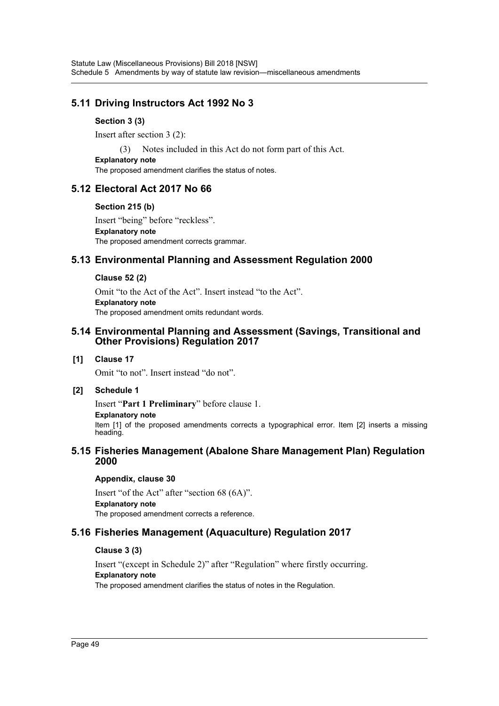### **5.11 Driving Instructors Act 1992 No 3**

### **Section 3 (3)**

Insert after section 3 (2):

(3) Notes included in this Act do not form part of this Act.

**Explanatory note**

The proposed amendment clarifies the status of notes.

### **5.12 Electoral Act 2017 No 66**

#### **Section 215 (b)**

Insert "being" before "reckless". **Explanatory note** The proposed amendment corrects grammar.

### **5.13 Environmental Planning and Assessment Regulation 2000**

#### **Clause 52 (2)**

Omit "to the Act of the Act". Insert instead "to the Act". **Explanatory note** The proposed amendment omits redundant words.

### **5.14 Environmental Planning and Assessment (Savings, Transitional and Other Provisions) Regulation 2017**

#### **[1] Clause 17**

Omit "to not". Insert instead "do not".

#### **[2] Schedule 1**

Insert "**Part 1 Preliminary**" before clause 1.

#### **Explanatory note**

Item [1] of the proposed amendments corrects a typographical error. Item [2] inserts a missing heading.

### **5.15 Fisheries Management (Abalone Share Management Plan) Regulation 2000**

#### **Appendix, clause 30**

Insert "of the Act" after "section 68 (6A)". **Explanatory note** The proposed amendment corrects a reference.

### **5.16 Fisheries Management (Aquaculture) Regulation 2017**

#### **Clause 3 (3)**

Insert "(except in Schedule 2)" after "Regulation" where firstly occurring. **Explanatory note** The proposed amendment clarifies the status of notes in the Regulation.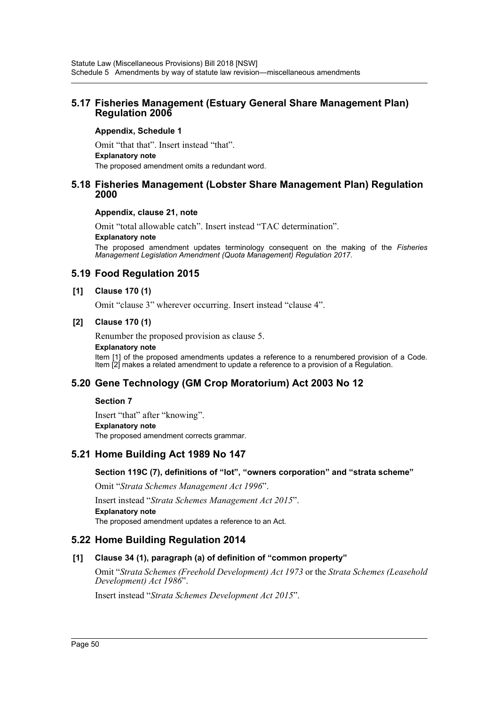### **5.17 Fisheries Management (Estuary General Share Management Plan) Regulation 2006**

#### **Appendix, Schedule 1**

Omit "that that". Insert instead "that". **Explanatory note** The proposed amendment omits a redundant word.

### **5.18 Fisheries Management (Lobster Share Management Plan) Regulation 2000**

#### **Appendix, clause 21, note**

Omit "total allowable catch". Insert instead "TAC determination".

#### **Explanatory note**

The proposed amendment updates terminology consequent on the making of the *Fisheries Management Legislation Amendment (Quota Management) Regulation 2017*.

### **5.19 Food Regulation 2015**

#### **[1] Clause 170 (1)**

Omit "clause 3" wherever occurring. Insert instead "clause 4".

#### **[2] Clause 170 (1)**

Renumber the proposed provision as clause 5.

#### **Explanatory note**

Item [1] of the proposed amendments updates a reference to a renumbered provision of a Code. Item [2] makes a related amendment to update a reference to a provision of a Regulation.

### **5.20 Gene Technology (GM Crop Moratorium) Act 2003 No 12**

#### **Section 7**

Insert "that" after "knowing". **Explanatory note** The proposed amendment corrects grammar.

### **5.21 Home Building Act 1989 No 147**

#### **Section 119C (7), definitions of "lot", "owners corporation" and "strata scheme"**

Omit "*Strata Schemes Management Act 1996*".

Insert instead "*Strata Schemes Management Act 2015*". **Explanatory note** The proposed amendment updates a reference to an Act.

### **5.22 Home Building Regulation 2014**

#### **[1] Clause 34 (1), paragraph (a) of definition of "common property"**

Omit "*Strata Schemes (Freehold Development) Act 1973* or the *Strata Schemes (Leasehold Development) Act 1986*".

Insert instead "*Strata Schemes Development Act 2015*".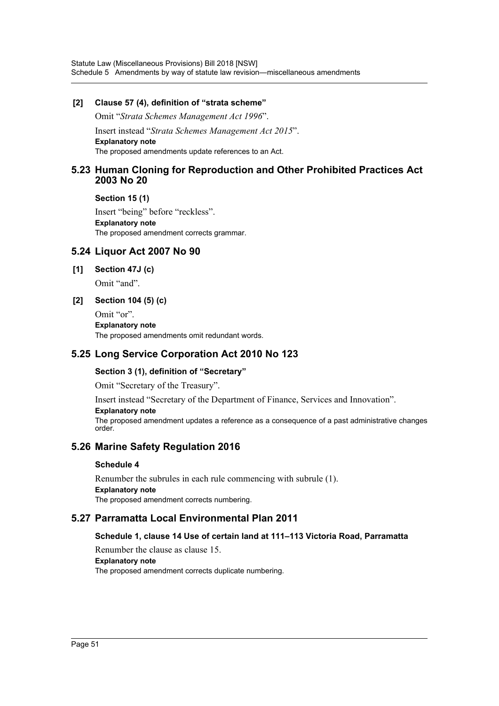#### **[2] Clause 57 (4), definition of "strata scheme"**

Omit "*Strata Schemes Management Act 1996*".

Insert instead "*Strata Schemes Management Act 2015*". **Explanatory note** The proposed amendments update references to an Act.

### **5.23 Human Cloning for Reproduction and Other Prohibited Practices Act 2003 No 20**

**Section 15 (1)**

Insert "being" before "reckless". **Explanatory note** The proposed amendment corrects grammar.

### **5.24 Liquor Act 2007 No 90**

**[1] Section 47J (c)**

Omit "and".

#### **[2] Section 104 (5) (c)**

Omit "or". **Explanatory note** The proposed amendments omit redundant words.

### **5.25 Long Service Corporation Act 2010 No 123**

#### **Section 3 (1), definition of "Secretary"**

Omit "Secretary of the Treasury".

Insert instead "Secretary of the Department of Finance, Services and Innovation".

#### **Explanatory note**

The proposed amendment updates a reference as a consequence of a past administrative changes order.

### **5.26 Marine Safety Regulation 2016**

#### **Schedule 4**

Renumber the subrules in each rule commencing with subrule (1). **Explanatory note** The proposed amendment corrects numbering.

### **5.27 Parramatta Local Environmental Plan 2011**

### **Schedule 1, clause 14 Use of certain land at 111–113 Victoria Road, Parramatta**

Renumber the clause as clause 15. **Explanatory note** The proposed amendment corrects duplicate numbering.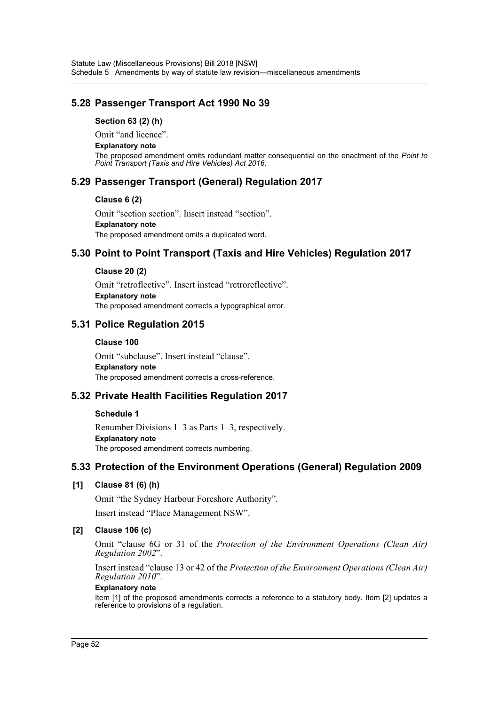### **5.28 Passenger Transport Act 1990 No 39**

#### **Section 63 (2) (h)**

Omit "and licence".

#### **Explanatory note**

The proposed amendment omits redundant matter consequential on the enactment of the *Point to Point Transport (Taxis and Hire Vehicles) Act 2016*.

### **5.29 Passenger Transport (General) Regulation 2017**

#### **Clause 6 (2)**

Omit "section section". Insert instead "section". **Explanatory note** The proposed amendment omits a duplicated word.

### **5.30 Point to Point Transport (Taxis and Hire Vehicles) Regulation 2017**

### **Clause 20 (2)**

Omit "retroflective". Insert instead "retroreflective". **Explanatory note** The proposed amendment corrects a typographical error.

### **5.31 Police Regulation 2015**

#### **Clause 100**

Omit "subclause". Insert instead "clause". **Explanatory note** The proposed amendment corrects a cross-reference.

### **5.32 Private Health Facilities Regulation 2017**

#### **Schedule 1**

Renumber Divisions 1–3 as Parts 1–3, respectively. **Explanatory note** The proposed amendment corrects numbering.

### **5.33 Protection of the Environment Operations (General) Regulation 2009**

### **[1] Clause 81 (6) (h)**

Omit "the Sydney Harbour Foreshore Authority". Insert instead "Place Management NSW".

### **[2] Clause 106 (c)**

Omit "clause 6G or 31 of the *Protection of the Environment Operations (Clean Air) Regulation 2002*".

Insert instead "clause 13 or 42 of the *Protection of the Environment Operations (Clean Air) Regulation 2010*".

### **Explanatory note**

Item [1] of the proposed amendments corrects a reference to a statutory body. Item [2] updates a reference to provisions of a regulation.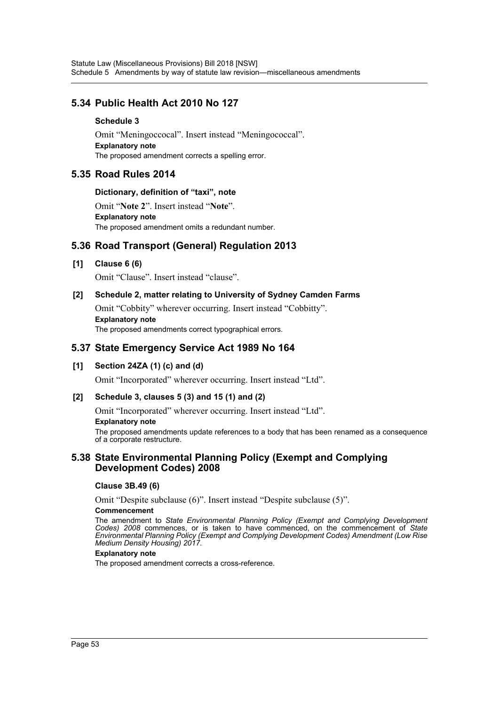### **5.34 Public Health Act 2010 No 127**

#### **Schedule 3**

Omit "Meningoccocal". Insert instead "Meningococcal". **Explanatory note** The proposed amendment corrects a spelling error.

### **5.35 Road Rules 2014**

#### **Dictionary, definition of "taxi", note**

Omit "**Note 2**". Insert instead "**Note**". **Explanatory note** The proposed amendment omits a redundant number.

### **5.36 Road Transport (General) Regulation 2013**

#### **[1] Clause 6 (6)**

Omit "Clause". Insert instead "clause".

#### **[2] Schedule 2, matter relating to University of Sydney Camden Farms**

Omit "Cobbity" wherever occurring. Insert instead "Cobbitty". **Explanatory note**

The proposed amendments correct typographical errors.

### **5.37 State Emergency Service Act 1989 No 164**

#### **[1] Section 24ZA (1) (c) and (d)**

Omit "Incorporated" wherever occurring. Insert instead "Ltd".

#### **[2] Schedule 3, clauses 5 (3) and 15 (1) and (2)**

Omit "Incorporated" wherever occurring. Insert instead "Ltd".

#### **Explanatory note**

The proposed amendments update references to a body that has been renamed as a consequence of a corporate restructure.

#### **5.38 State Environmental Planning Policy (Exempt and Complying Development Codes) 2008**

#### **Clause 3B.49 (6)**

Omit "Despite subclause (6)". Insert instead "Despite subclause (5)".

#### **Commencement**

The amendment to *State Environmental Planning Policy (Exempt and Complying Development Codes) 2008* commences, or is taken to have commenced, on the commencement of *State Environmental Planning Policy (Exempt and Complying Development Codes) Amendment (Low Rise Medium Density Housing) 2017*.

#### **Explanatory note**

The proposed amendment corrects a cross-reference.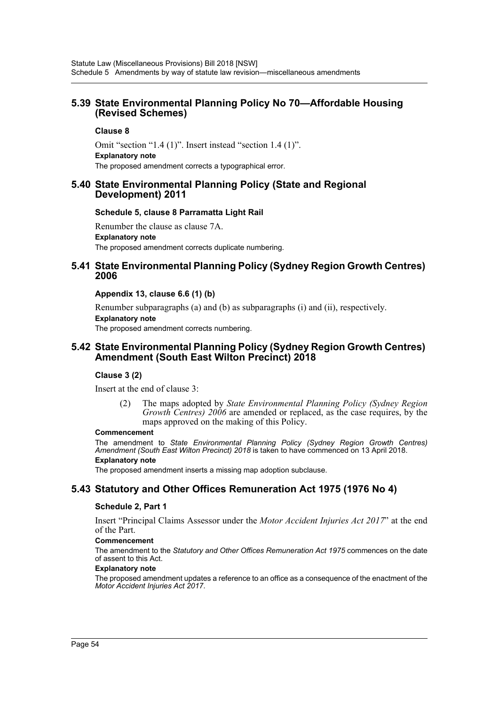### **5.39 State Environmental Planning Policy No 70—Affordable Housing (Revised Schemes)**

#### **Clause 8**

Omit "section "1.4 (1)". Insert instead "section 1.4 (1)". **Explanatory note** The proposed amendment corrects a typographical error.

### **5.40 State Environmental Planning Policy (State and Regional Development) 2011**

#### **Schedule 5, clause 8 Parramatta Light Rail**

Renumber the clause as clause 7A. **Explanatory note** The proposed amendment corrects duplicate numbering.

### **5.41 State Environmental Planning Policy (Sydney Region Growth Centres) 2006**

#### **Appendix 13, clause 6.6 (1) (b)**

Renumber subparagraphs (a) and (b) as subparagraphs (i) and (ii), respectively. **Explanatory note** The proposed amendment corrects numbering.

### **5.42 State Environmental Planning Policy (Sydney Region Growth Centres) Amendment (South East Wilton Precinct) 2018**

#### **Clause 3 (2)**

Insert at the end of clause 3:

(2) The maps adopted by *State Environmental Planning Policy (Sydney Region Growth Centres) 2006* are amended or replaced, as the case requires, by the maps approved on the making of this Policy.

#### **Commencement**

The amendment to *State Environmental Planning Policy (Sydney Region Growth Centres) Amendment (South East Wilton Precinct) 2018* is taken to have commenced on 13 April 2018. **Explanatory note**

The proposed amendment inserts a missing map adoption subclause.

### **5.43 Statutory and Other Offices Remuneration Act 1975 (1976 No 4)**

#### **Schedule 2, Part 1**

Insert "Principal Claims Assessor under the *Motor Accident Injuries Act 2017*" at the end of the Part.

#### **Commencement**

The amendment to the *Statutory and Other Offices Remuneration Act 1975* commences on the date of assent to this Act.

#### **Explanatory note**

The proposed amendment updates a reference to an office as a consequence of the enactment of the *Motor Accident Injuries Act 2017*.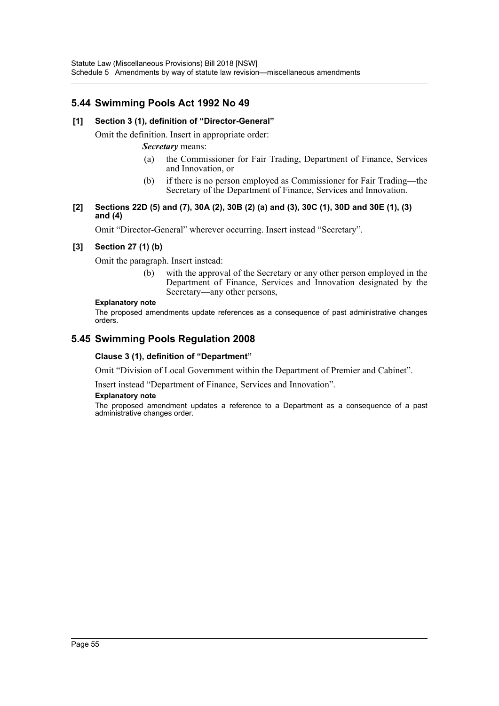### **5.44 Swimming Pools Act 1992 No 49**

#### **[1] Section 3 (1), definition of "Director-General"**

Omit the definition. Insert in appropriate order:

#### *Secretary* means:

- (a) the Commissioner for Fair Trading, Department of Finance, Services and Innovation, or
- (b) if there is no person employed as Commissioner for Fair Trading—the Secretary of the Department of Finance, Services and Innovation.

#### **[2] Sections 22D (5) and (7), 30A (2), 30B (2) (a) and (3), 30C (1), 30D and 30E (1), (3) and (4)**

Omit "Director-General" wherever occurring. Insert instead "Secretary".

#### **[3] Section 27 (1) (b)**

Omit the paragraph. Insert instead:

(b) with the approval of the Secretary or any other person employed in the Department of Finance, Services and Innovation designated by the Secretary—any other persons,

#### **Explanatory note**

The proposed amendments update references as a consequence of past administrative changes orders.

### **5.45 Swimming Pools Regulation 2008**

#### **Clause 3 (1), definition of "Department"**

Omit "Division of Local Government within the Department of Premier and Cabinet".

Insert instead "Department of Finance, Services and Innovation".

#### **Explanatory note**

The proposed amendment updates a reference to a Department as a consequence of a past administrative changes order.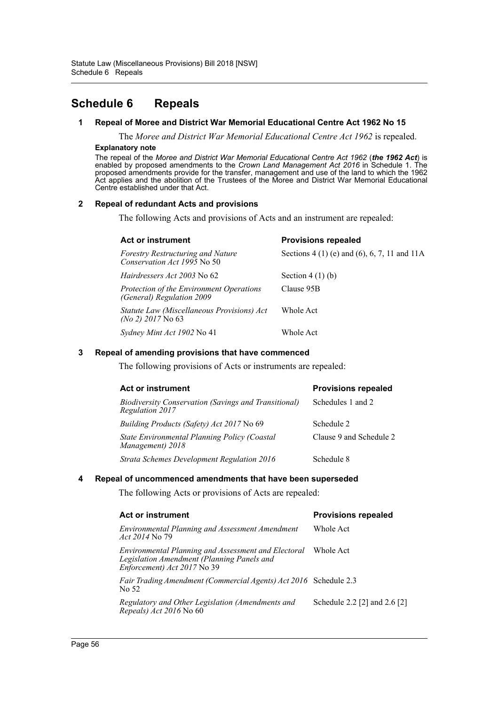## <span id="page-56-0"></span>**Schedule 6 Repeals**

#### **1 Repeal of Moree and District War Memorial Educational Centre Act 1962 No 15**

The *Moree and District War Memorial Educational Centre Act 1962* is repealed.

#### **Explanatory note**

The repeal of the *Moree and District War Memorial Educational Centre Act 1962* (*the 1962 Act*) is enabled by proposed amendments to the *Crown Land Management Act 2016* in Schedule 1. The proposed amendments provide for the transfer, management and use of the land to which the 1962 Act applies and the abolition of the Trustees of the Moree and District War Memorial Educational Centre established under that Act.

#### **2 Repeal of redundant Acts and provisions**

The following Acts and provisions of Acts and an instrument are repealed:

| <b>Act or instrument</b>                                                | <b>Provisions repealed</b>                    |  |
|-------------------------------------------------------------------------|-----------------------------------------------|--|
| <b>Forestry Restructuring and Nature</b><br>Conservation Act 1995 No 50 | Sections $4(1)$ (e) and (6), 6, 7, 11 and 11A |  |
| <i>Hairdressers Act 2003</i> No 62                                      | Section $4(1)(b)$                             |  |
| Protection of the Environment Operations<br>(General) Regulation 2009   | Clause 95B                                    |  |
| Statute Law (Miscellaneous Provisions) Act<br>$(No 2)$ 2017 No 63       | Whole Act                                     |  |
| Sydney Mint Act 1902 No 41                                              | Whole Act                                     |  |

#### **3 Repeal of amending provisions that have commenced**

The following provisions of Acts or instruments are repealed:

| <b>Act or instrument</b>                                                | <b>Provisions repealed</b> |  |
|-------------------------------------------------------------------------|----------------------------|--|
| Biodiversity Conservation (Savings and Transitional)<br>Regulation 2017 | Schedules 1 and 2          |  |
| <i>Building Products (Safety) Act 2017</i> No 69                        | Schedule 2                 |  |
| State Environmental Planning Policy (Coastal<br>Management) 2018        | Clause 9 and Schedule 2    |  |
| Strata Schemes Development Regulation 2016                              | Schedule 8                 |  |

#### **4 Repeal of uncommenced amendments that have been superseded**

The following Acts or provisions of Acts are repealed:

| Act or instrument                                                                                                                | <b>Provisions repealed</b>   |
|----------------------------------------------------------------------------------------------------------------------------------|------------------------------|
| Environmental Planning and Assessment Amendment<br><i>Act 2014</i> No 79                                                         | Whole Act                    |
| Environmental Planning and Assessment and Electoral<br>Legislation Amendment (Planning Panels and<br>Enforcement) Act 2017 No 39 | Whole Act                    |
| <i>Fair Trading Amendment (Commercial Agents) Act 2016</i> Schedule 2.3<br>No 52                                                 |                              |
| Regulatory and Other Legislation (Amendments and<br>Repeals) Act 2016 No 60                                                      | Schedule 2.2 [2] and 2.6 [2] |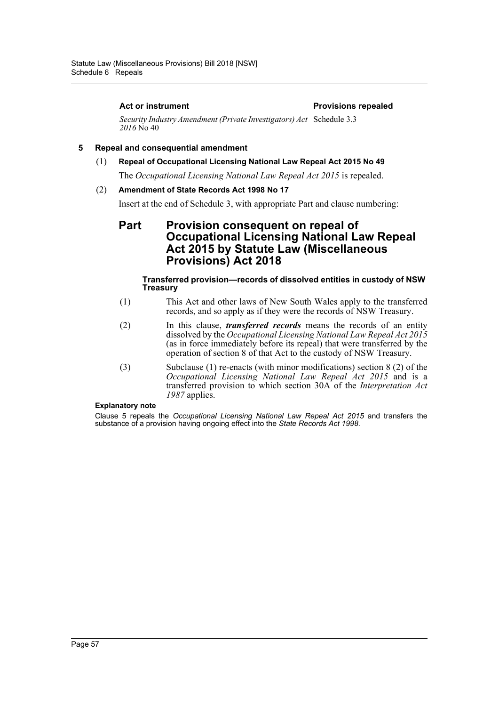#### Act or instrument **Act or instrument Act or instrument**

*Security Industry Amendment (Private Investigators) Act*  Schedule 3.3 *2016* No 40

#### **5 Repeal and consequential amendment**

(1) **Repeal of Occupational Licensing National Law Repeal Act 2015 No 49**

The *Occupational Licensing National Law Repeal Act 2015* is repealed.

#### (2) **Amendment of State Records Act 1998 No 17**

Insert at the end of Schedule 3, with appropriate Part and clause numbering:

### **Part Provision consequent on repeal of Occupational Licensing National Law Repeal Act 2015 by Statute Law (Miscellaneous Provisions) Act 2018**

#### **Transferred provision—records of dissolved entities in custody of NSW Treasury**

- (1) This Act and other laws of New South Wales apply to the transferred records, and so apply as if they were the records of NSW Treasury.
- (2) In this clause, *transferred records* means the records of an entity dissolved by the *Occupational Licensing National Law Repeal Act 2015* (as in force immediately before its repeal) that were transferred by the operation of section 8 of that Act to the custody of NSW Treasury.
- (3) Subclause (1) re-enacts (with minor modifications) section 8 (2) of the *Occupational Licensing National Law Repeal Act 2015* and is a transferred provision to which section 30A of the *Interpretation Act 1987* applies.

#### **Explanatory note**

Clause 5 repeals the *Occupational Licensing National Law Repeal Act 2015* and transfers the substance of a provision having ongoing effect into the *State Records Act 1998*.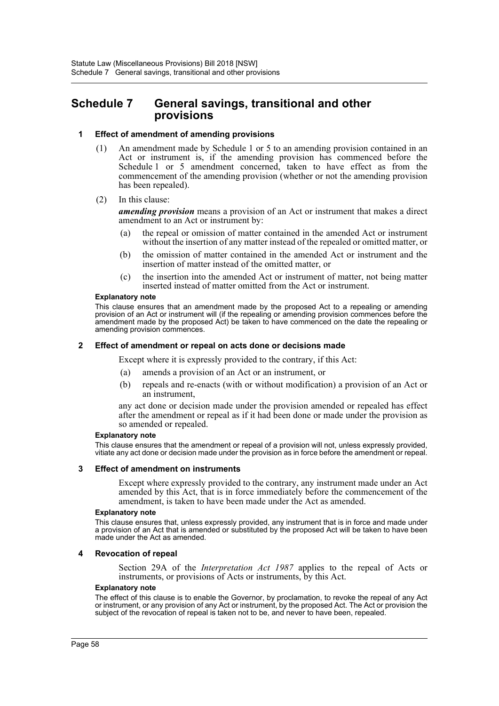### <span id="page-58-0"></span>**Schedule 7 General savings, transitional and other provisions**

#### **1 Effect of amendment of amending provisions**

- (1) An amendment made by Schedule 1 or 5 to an amending provision contained in an Act or instrument is, if the amending provision has commenced before the Schedule 1 or 5 amendment concerned, taken to have effect as from the commencement of the amending provision (whether or not the amending provision has been repealed).
- (2) In this clause:

*amending provision* means a provision of an Act or instrument that makes a direct amendment to an Act or instrument by:

- (a) the repeal or omission of matter contained in the amended Act or instrument without the insertion of any matter instead of the repealed or omitted matter, or
- (b) the omission of matter contained in the amended Act or instrument and the insertion of matter instead of the omitted matter, or
- (c) the insertion into the amended Act or instrument of matter, not being matter inserted instead of matter omitted from the Act or instrument.

#### **Explanatory note**

This clause ensures that an amendment made by the proposed Act to a repealing or amending provision of an Act or instrument will (if the repealing or amending provision commences before the amendment made by the proposed Act) be taken to have commenced on the date the repealing or amending provision commences.

#### **2 Effect of amendment or repeal on acts done or decisions made**

Except where it is expressly provided to the contrary, if this Act:

- (a) amends a provision of an Act or an instrument, or
- (b) repeals and re-enacts (with or without modification) a provision of an Act or an instrument,

any act done or decision made under the provision amended or repealed has effect after the amendment or repeal as if it had been done or made under the provision as so amended or repealed.

#### **Explanatory note**

This clause ensures that the amendment or repeal of a provision will not, unless expressly provided, vitiate any act done or decision made under the provision as in force before the amendment or repeal.

#### **3 Effect of amendment on instruments**

Except where expressly provided to the contrary, any instrument made under an Act amended by this Act, that is in force immediately before the commencement of the amendment, is taken to have been made under the Act as amended.

#### **Explanatory note**

This clause ensures that, unless expressly provided, any instrument that is in force and made under a provision of an Act that is amended or substituted by the proposed Act will be taken to have been made under the Act as amended.

#### **4 Revocation of repeal**

Section 29A of the *Interpretation Act 1987* applies to the repeal of Acts or instruments, or provisions of Acts or instruments, by this Act.

#### **Explanatory note**

The effect of this clause is to enable the Governor, by proclamation, to revoke the repeal of any Act or instrument, or any provision of any Act or instrument, by the proposed Act. The Act or provision the subject of the revocation of repeal is taken not to be, and never to have been, repealed.